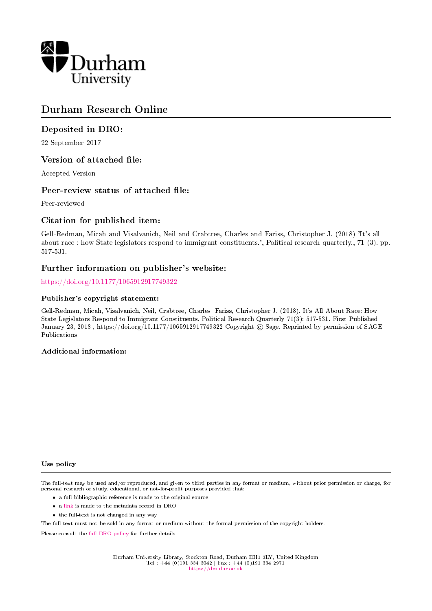

# Durham Research Online

# Deposited in DRO:

22 September 2017

# Version of attached file:

Accepted Version

# Peer-review status of attached file:

Peer-reviewed

# Citation for published item:

Gell-Redman, Micah and Visalvanich, Neil and Crabtree, Charles and Fariss, Christopher J. (2018) 'It's all about race : how State legislators respond to immigrant constituents.', Political research quarterly., 71 (3). pp. 517-531.

# Further information on publisher's website:

<https://doi.org/10.1177/1065912917749322>

#### Publisher's copyright statement:

Gell-Redman, Micah, Visalvanich, Neil, Crabtree, Charles Fariss, Christopher J. (2018). It's All About Race: How State Legislators Respond to Immigrant Constituents. Political Research Quarterly 71(3): 517-531. First Published January 23, 2018, https://doi.org/10.1177/1065912917749322 Copyright © Sage. Reprinted by permission of SAGE Publications

#### Additional information:

Use policy

The full-text may be used and/or reproduced, and given to third parties in any format or medium, without prior permission or charge, for personal research or study, educational, or not-for-profit purposes provided that:

- a full bibliographic reference is made to the original source
- a [link](http://dro.dur.ac.uk/22974/) is made to the metadata record in DRO
- the full-text is not changed in any way

The full-text must not be sold in any format or medium without the formal permission of the copyright holders.

Please consult the [full DRO policy](https://dro.dur.ac.uk/policies/usepolicy.pdf) for further details.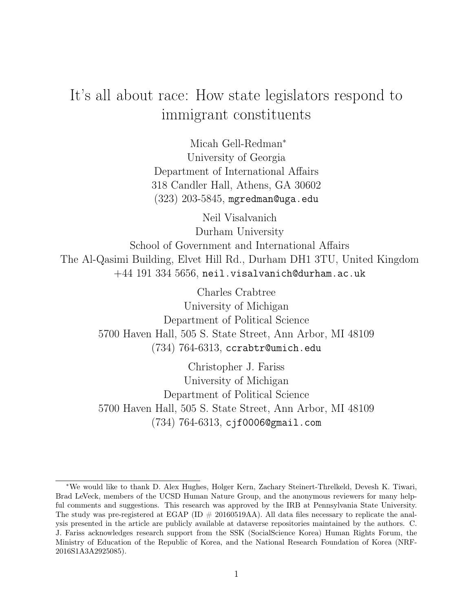# It's all about race: How state legislators respond to immigrant constituents

Micah Gell-Redman<sup>∗</sup> University of Georgia Department of International Affairs 318 Candler Hall, Athens, GA 30602  $(323)$   $203-5845$ , mgredman@uga.edu

Neil Visalvanich Durham University School of Government and International Affairs The Al-Qasimi Building, Elvet Hill Rd., Durham DH1 3TU, United Kingdom  $+44$  191 334 5656, neil.visalvanich@durham.ac.uk

> Charles Crabtree University of Michigan Department of Political Science 5700 Haven Hall, 505 S. State Street, Ann Arbor, MI 48109 (734) 764-6313, ccrabtr@umich.edu

> Christopher J. Fariss University of Michigan Department of Political Science 5700 Haven Hall, 505 S. State Street, Ann Arbor, MI 48109 (734) 764-6313, cjf0006@gmail.com

<sup>∗</sup>We would like to thank D. Alex Hughes, Holger Kern, Zachary Steinert-Threlkeld, Devesh K. Tiwari, Brad LeVeck, members of the UCSD Human Nature Group, and the anonymous reviewers for many helpful comments and suggestions. This research was approved by the IRB at Pennsylvania State University. The study was pre-registered at EGAP (ID  $\#$  20160519AA). All data files necessary to replicate the analysis presented in the article are publicly available at dataverse repositories maintained by the authors. C. J. Fariss acknowledges research support from the SSK (SocialScience Korea) Human Rights Forum, the Ministry of Education of the Republic of Korea, and the National Research Foundation of Korea (NRF-2016S1A3A2925085).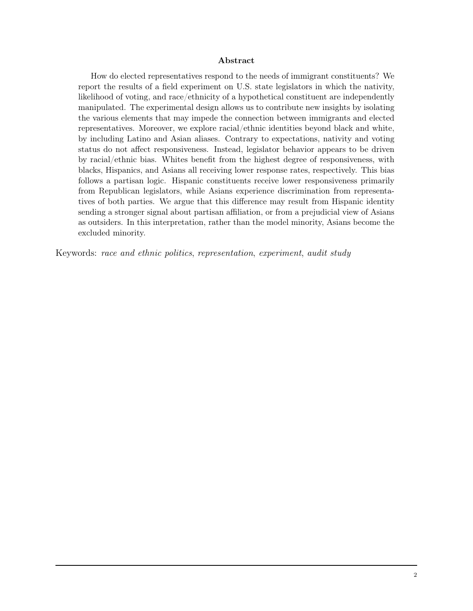#### Abstract

How do elected representatives respond to the needs of immigrant constituents? We report the results of a field experiment on U.S. state legislators in which the nativity, likelihood of voting, and race/ethnicity of a hypothetical constituent are independently manipulated. The experimental design allows us to contribute new insights by isolating the various elements that may impede the connection between immigrants and elected representatives. Moreover, we explore racial/ethnic identities beyond black and white, by including Latino and Asian aliases. Contrary to expectations, nativity and voting status do not affect responsiveness. Instead, legislator behavior appears to be driven by racial/ethnic bias. Whites benefit from the highest degree of responsiveness, with blacks, Hispanics, and Asians all receiving lower response rates, respectively. This bias follows a partisan logic. Hispanic constituents receive lower responsiveness primarily from Republican legislators, while Asians experience discrimination from representatives of both parties. We argue that this difference may result from Hispanic identity sending a stronger signal about partisan affiliation, or from a prejudicial view of Asians as outsiders. In this interpretation, rather than the model minority, Asians become the excluded minority.

Keywords: race and ethnic politics, representation, experiment, audit study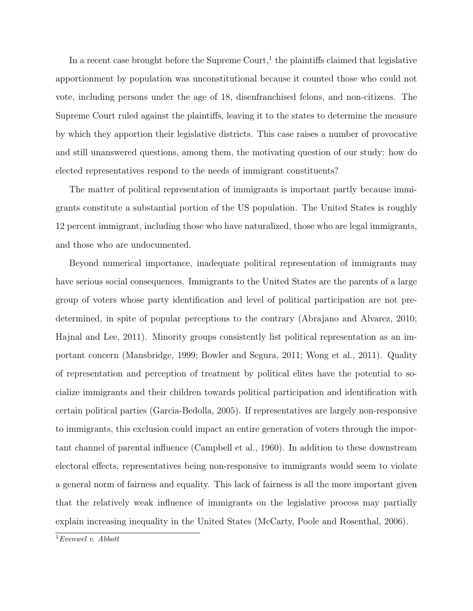In a recent case brought before the Supreme Court,<sup>1</sup> the plaintiffs claimed that legislative apportionment by population was unconstitutional because it counted those who could not vote, including persons under the age of 18, disenfranchised felons, and non-citizens. The Supreme Court ruled against the plaintiffs, leaving it to the states to determine the measure by which they apportion their legislative districts. This case raises a number of provocative and still unanswered questions, among them, the motivating question of our study: how do elected representatives respond to the needs of immigrant constituents?

The matter of political representation of immigrants is important partly because immigrants constitute a substantial portion of the US population. The United States is roughly 12 percent immigrant, including those who have naturalized, those who are legal immigrants, and those who are undocumented.

Beyond numerical importance, inadequate political representation of immigrants may have serious social consequences. Immigrants to the United States are the parents of a large group of voters whose party identification and level of political participation are not predetermined, in spite of popular perceptions to the contrary (Abrajano and Alvarez, 2010; Hajnal and Lee, 2011). Minority groups consistently list political representation as an important concern (Mansbridge, 1999; Bowler and Segura, 2011; Wong et al., 2011). Quality of representation and perception of treatment by political elites have the potential to socialize immigrants and their children towards political participation and identification with certain political parties (Garcia-Bedolla, 2005). If representatives are largely non-responsive to immigrants, this exclusion could impact an entire generation of voters through the important channel of parental influence (Campbell et al., 1960). In addition to these downstream electoral effects, representatives being non-responsive to immigrants would seem to violate a general norm of fairness and equality. This lack of fairness is all the more important given that the relatively weak influence of immigrants on the legislative process may partially explain increasing inequality in the United States (McCarty, Poole and Rosenthal, 2006).

 $1$ Evenwel v. Abbott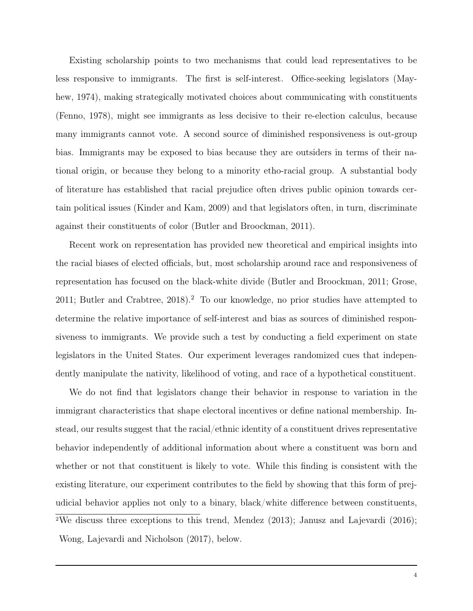Existing scholarship points to two mechanisms that could lead representatives to be less responsive to immigrants. The first is self-interest. Office-seeking legislators (Mayhew, 1974), making strategically motivated choices about communicating with constituents (Fenno, 1978), might see immigrants as less decisive to their re-election calculus, because many immigrants cannot vote. A second source of diminished responsiveness is out-group bias. Immigrants may be exposed to bias because they are outsiders in terms of their national origin, or because they belong to a minority etho-racial group. A substantial body of literature has established that racial prejudice often drives public opinion towards certain political issues (Kinder and Kam, 2009) and that legislators often, in turn, discriminate against their constituents of color (Butler and Broockman, 2011).

Recent work on representation has provided new theoretical and empirical insights into the racial biases of elected officials, but, most scholarship around race and responsiveness of representation has focused on the black-white divide (Butler and Broockman, 2011; Grose, 2011; Butler and Crabtree,  $2018$ ).<sup>2</sup> To our knowledge, no prior studies have attempted to determine the relative importance of self-interest and bias as sources of diminished responsiveness to immigrants. We provide such a test by conducting a field experiment on state legislators in the United States. Our experiment leverages randomized cues that independently manipulate the nativity, likelihood of voting, and race of a hypothetical constituent.

We do not find that legislators change their behavior in response to variation in the immigrant characteristics that shape electoral incentives or define national membership. Instead, our results suggest that the racial/ethnic identity of a constituent drives representative behavior independently of additional information about where a constituent was born and whether or not that constituent is likely to vote. While this finding is consistent with the existing literature, our experiment contributes to the field by showing that this form of prejudicial behavior applies not only to a binary, black/white difference between constituents, <sup>2</sup>We discuss three exceptions to this trend, Mendez (2013); Janusz and Lajevardi (2016); Wong, Lajevardi and Nicholson (2017), below.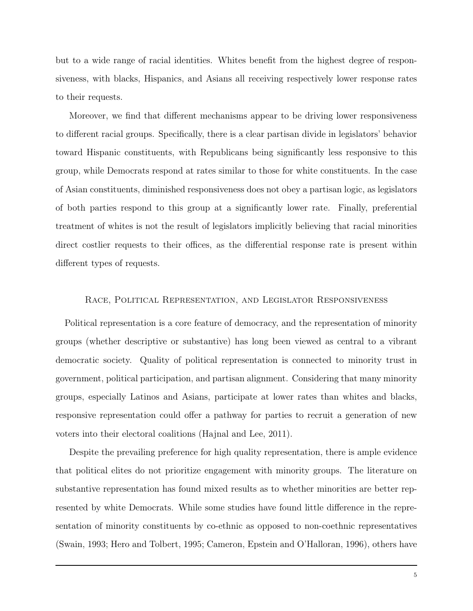but to a wide range of racial identities. Whites benefit from the highest degree of responsiveness, with blacks, Hispanics, and Asians all receiving respectively lower response rates to their requests.

Moreover, we find that different mechanisms appear to be driving lower responsiveness to different racial groups. Specifically, there is a clear partisan divide in legislators' behavior toward Hispanic constituents, with Republicans being significantly less responsive to this group, while Democrats respond at rates similar to those for white constituents. In the case of Asian constituents, diminished responsiveness does not obey a partisan logic, as legislators of both parties respond to this group at a significantly lower rate. Finally, preferential treatment of whites is not the result of legislators implicitly believing that racial minorities direct costlier requests to their offices, as the differential response rate is present within different types of requests.

#### Race, Political Representation, and Legislator Responsiveness

Political representation is a core feature of democracy, and the representation of minority groups (whether descriptive or substantive) has long been viewed as central to a vibrant democratic society. Quality of political representation is connected to minority trust in government, political participation, and partisan alignment. Considering that many minority groups, especially Latinos and Asians, participate at lower rates than whites and blacks, responsive representation could offer a pathway for parties to recruit a generation of new voters into their electoral coalitions (Hajnal and Lee, 2011).

Despite the prevailing preference for high quality representation, there is ample evidence that political elites do not prioritize engagement with minority groups. The literature on substantive representation has found mixed results as to whether minorities are better represented by white Democrats. While some studies have found little difference in the representation of minority constituents by co-ethnic as opposed to non-coethnic representatives (Swain, 1993; Hero and Tolbert, 1995; Cameron, Epstein and O'Halloran, 1996), others have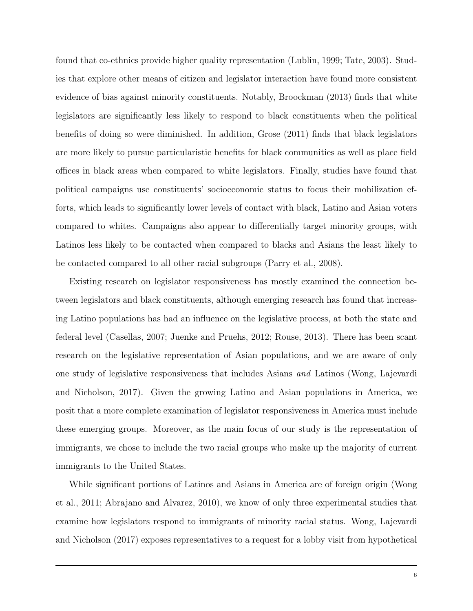found that co-ethnics provide higher quality representation (Lublin, 1999; Tate, 2003). Studies that explore other means of citizen and legislator interaction have found more consistent evidence of bias against minority constituents. Notably, Broockman (2013) finds that white legislators are significantly less likely to respond to black constituents when the political benefits of doing so were diminished. In addition, Grose (2011) finds that black legislators are more likely to pursue particularistic benefits for black communities as well as place field offices in black areas when compared to white legislators. Finally, studies have found that political campaigns use constituents' socioeconomic status to focus their mobilization efforts, which leads to significantly lower levels of contact with black, Latino and Asian voters compared to whites. Campaigns also appear to differentially target minority groups, with Latinos less likely to be contacted when compared to blacks and Asians the least likely to be contacted compared to all other racial subgroups (Parry et al., 2008).

Existing research on legislator responsiveness has mostly examined the connection between legislators and black constituents, although emerging research has found that increasing Latino populations has had an influence on the legislative process, at both the state and federal level (Casellas, 2007; Juenke and Pruehs, 2012; Rouse, 2013). There has been scant research on the legislative representation of Asian populations, and we are aware of only one study of legislative responsiveness that includes Asians and Latinos (Wong, Lajevardi and Nicholson, 2017). Given the growing Latino and Asian populations in America, we posit that a more complete examination of legislator responsiveness in America must include these emerging groups. Moreover, as the main focus of our study is the representation of immigrants, we chose to include the two racial groups who make up the majority of current immigrants to the United States.

While significant portions of Latinos and Asians in America are of foreign origin (Wong et al., 2011; Abrajano and Alvarez, 2010), we know of only three experimental studies that examine how legislators respond to immigrants of minority racial status. Wong, Lajevardi and Nicholson (2017) exposes representatives to a request for a lobby visit from hypothetical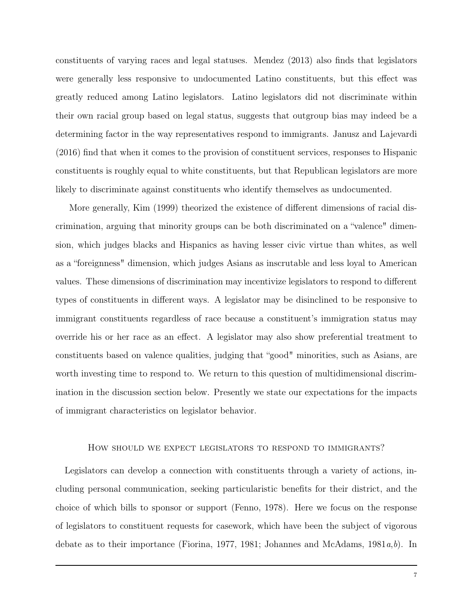constituents of varying races and legal statuses. Mendez (2013) also finds that legislators were generally less responsive to undocumented Latino constituents, but this effect was greatly reduced among Latino legislators. Latino legislators did not discriminate within their own racial group based on legal status, suggests that outgroup bias may indeed be a determining factor in the way representatives respond to immigrants. Janusz and Lajevardi (2016) find that when it comes to the provision of constituent services, responses to Hispanic constituents is roughly equal to white constituents, but that Republican legislators are more likely to discriminate against constituents who identify themselves as undocumented.

More generally, Kim (1999) theorized the existence of different dimensions of racial discrimination, arguing that minority groups can be both discriminated on a "valence" dimension, which judges blacks and Hispanics as having lesser civic virtue than whites, as well as a "foreignness" dimension, which judges Asians as inscrutable and less loyal to American values. These dimensions of discrimination may incentivize legislators to respond to different types of constituents in different ways. A legislator may be disinclined to be responsive to immigrant constituents regardless of race because a constituent's immigration status may override his or her race as an effect. A legislator may also show preferential treatment to constituents based on valence qualities, judging that "good" minorities, such as Asians, are worth investing time to respond to. We return to this question of multidimensional discrimination in the discussion section below. Presently we state our expectations for the impacts of immigrant characteristics on legislator behavior.

#### How should we expect legislators to respond to immigrants?

Legislators can develop a connection with constituents through a variety of actions, including personal communication, seeking particularistic benefits for their district, and the choice of which bills to sponsor or support (Fenno, 1978). Here we focus on the response of legislators to constituent requests for casework, which have been the subject of vigorous debate as to their importance (Fiorina, 1977, 1981; Johannes and McAdams, 1981 $a,b$ ). In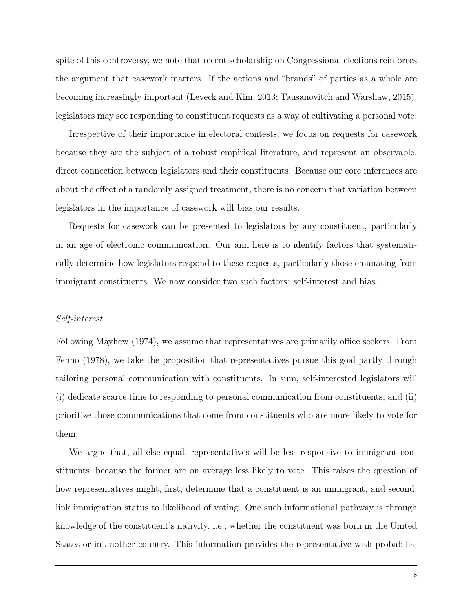spite of this controversy, we note that recent scholarship on Congressional elections reinforces the argument that casework matters. If the actions and "brands" of parties as a whole are becoming increasingly important (Leveck and Kim, 2013; Tausanovitch and Warshaw, 2015), legislators may see responding to constituent requests as a way of cultivating a personal vote.

Irrespective of their importance in electoral contests, we focus on requests for casework because they are the subject of a robust empirical literature, and represent an observable, direct connection between legislators and their constituents. Because our core inferences are about the effect of a randomly assigned treatment, there is no concern that variation between legislators in the importance of casework will bias our results.

Requests for casework can be presented to legislators by any constituent, particularly in an age of electronic communication. Our aim here is to identify factors that systematically determine how legislators respond to these requests, particularly those emanating from immigrant constituents. We now consider two such factors: self-interest and bias.

#### Self-interest

Following Mayhew (1974), we assume that representatives are primarily office seekers. From Fenno (1978), we take the proposition that representatives pursue this goal partly through tailoring personal communication with constituents. In sum, self-interested legislators will (i) dedicate scarce time to responding to personal communication from constituents, and (ii) prioritize those communications that come from constituents who are more likely to vote for them.

We argue that, all else equal, representatives will be less responsive to immigrant constituents, because the former are on average less likely to vote. This raises the question of how representatives might, first, determine that a constituent is an immigrant, and second, link immigration status to likelihood of voting. One such informational pathway is through knowledge of the constituent's nativity, i.e., whether the constituent was born in the United States or in another country. This information provides the representative with probabilis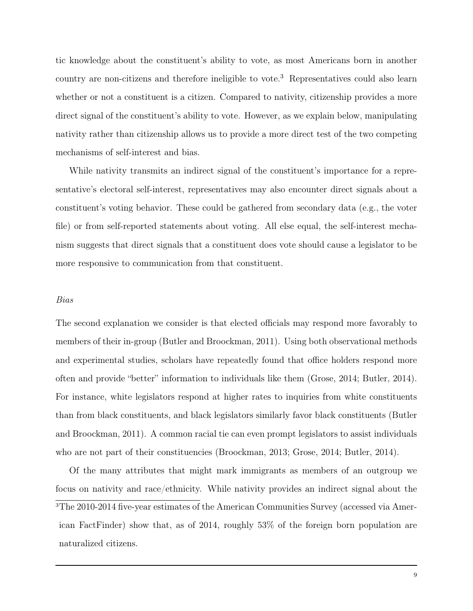tic knowledge about the constituent's ability to vote, as most Americans born in another country are non-citizens and therefore ineligible to vote.<sup>3</sup> Representatives could also learn whether or not a constituent is a citizen. Compared to nativity, citizenship provides a more direct signal of the constituent's ability to vote. However, as we explain below, manipulating nativity rather than citizenship allows us to provide a more direct test of the two competing mechanisms of self-interest and bias.

While nativity transmits an indirect signal of the constituent's importance for a representative's electoral self-interest, representatives may also encounter direct signals about a constituent's voting behavior. These could be gathered from secondary data (e.g., the voter file) or from self-reported statements about voting. All else equal, the self-interest mechanism suggests that direct signals that a constituent does vote should cause a legislator to be more responsive to communication from that constituent.

#### Bias

The second explanation we consider is that elected officials may respond more favorably to members of their in-group (Butler and Broockman, 2011). Using both observational methods and experimental studies, scholars have repeatedly found that office holders respond more often and provide "better" information to individuals like them (Grose, 2014; Butler, 2014). For instance, white legislators respond at higher rates to inquiries from white constituents than from black constituents, and black legislators similarly favor black constituents (Butler and Broockman, 2011). A common racial tie can even prompt legislators to assist individuals who are not part of their constituencies (Broockman, 2013; Grose, 2014; Butler, 2014).

Of the many attributes that might mark immigrants as members of an outgroup we focus on nativity and race/ethnicity. While nativity provides an indirect signal about the 3The 2010-2014 five-year estimates of the American Communities Survey (accessed via American FactFinder) show that, as of 2014, roughly 53% of the foreign born population are naturalized citizens.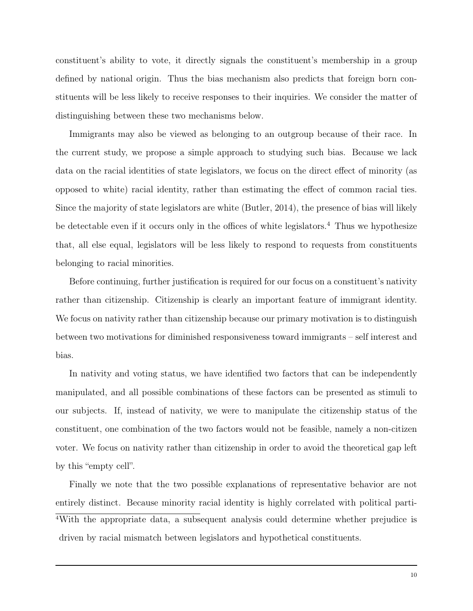constituent's ability to vote, it directly signals the constituent's membership in a group defined by national origin. Thus the bias mechanism also predicts that foreign born constituents will be less likely to receive responses to their inquiries. We consider the matter of distinguishing between these two mechanisms below.

Immigrants may also be viewed as belonging to an outgroup because of their race. In the current study, we propose a simple approach to studying such bias. Because we lack data on the racial identities of state legislators, we focus on the direct effect of minority (as opposed to white) racial identity, rather than estimating the effect of common racial ties. Since the majority of state legislators are white (Butler, 2014), the presence of bias will likely be detectable even if it occurs only in the offices of white legislators.<sup>4</sup> Thus we hypothesize that, all else equal, legislators will be less likely to respond to requests from constituents belonging to racial minorities.

Before continuing, further justification is required for our focus on a constituent's nativity rather than citizenship. Citizenship is clearly an important feature of immigrant identity. We focus on nativity rather than citizenship because our primary motivation is to distinguish between two motivations for diminished responsiveness toward immigrants – self interest and bias.

In nativity and voting status, we have identified two factors that can be independently manipulated, and all possible combinations of these factors can be presented as stimuli to our subjects. If, instead of nativity, we were to manipulate the citizenship status of the constituent, one combination of the two factors would not be feasible, namely a non-citizen voter. We focus on nativity rather than citizenship in order to avoid the theoretical gap left by this "empty cell".

Finally we note that the two possible explanations of representative behavior are not entirely distinct. Because minority racial identity is highly correlated with political parti-<sup>4</sup>With the appropriate data, a subsequent analysis could determine whether prejudice is driven by racial mismatch between legislators and hypothetical constituents.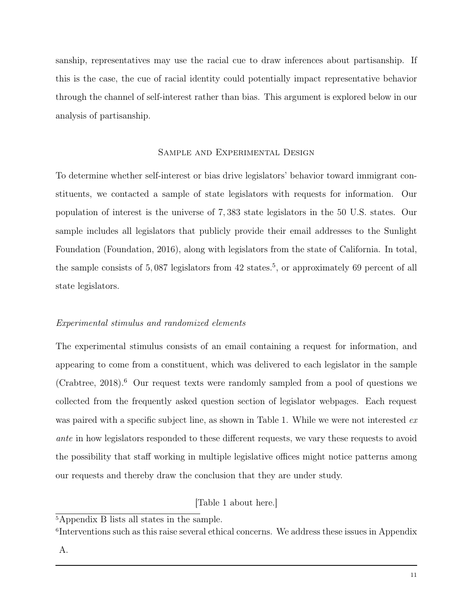sanship, representatives may use the racial cue to draw inferences about partisanship. If this is the case, the cue of racial identity could potentially impact representative behavior through the channel of self-interest rather than bias. This argument is explored below in our analysis of partisanship.

## Sample and Experimental Design

To determine whether self-interest or bias drive legislators' behavior toward immigrant constituents, we contacted a sample of state legislators with requests for information. Our population of interest is the universe of 7, 383 state legislators in the 50 U.S. states. Our sample includes all legislators that publicly provide their email addresses to the Sunlight Foundation (Foundation, 2016), along with legislators from the state of California. In total, the sample consists of  $5,087$  legislators from  $42$  states.<sup>5</sup>, or approximately 69 percent of all state legislators.

# Experimental stimulus and randomized elements

The experimental stimulus consists of an email containing a request for information, and appearing to come from a constituent, which was delivered to each legislator in the sample (Crabtree,  $2018$ ).<sup>6</sup> Our request texts were randomly sampled from a pool of questions we collected from the frequently asked question section of legislator webpages. Each request was paired with a specific subject line, as shown in Table 1. While we were not interested ex ante in how legislators responded to these different requests, we vary these requests to avoid the possibility that staff working in multiple legislative offices might notice patterns among our requests and thereby draw the conclusion that they are under study.

# [Table 1 about here.]

A.

<sup>&</sup>lt;sup>5</sup>Appendix B lists all states in the sample.

<sup>6</sup> Interventions such as this raise several ethical concerns. We address these issues in Appendix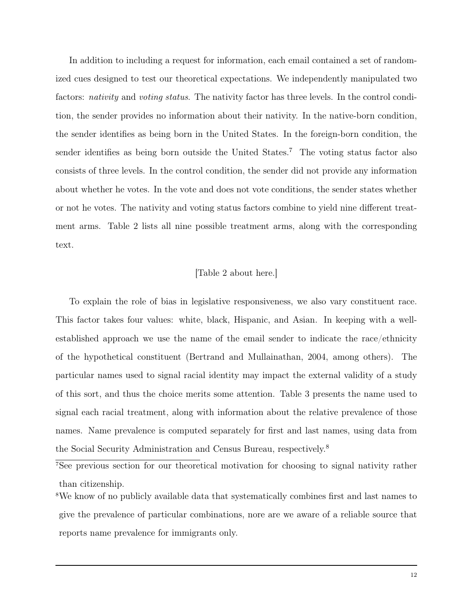In addition to including a request for information, each email contained a set of randomized cues designed to test our theoretical expectations. We independently manipulated two factors: *nativity* and *voting status*. The nativity factor has three levels. In the control condition, the sender provides no information about their nativity. In the native-born condition, the sender identifies as being born in the United States. In the foreign-born condition, the sender identifies as being born outside the United States.<sup>7</sup> The voting status factor also consists of three levels. In the control condition, the sender did not provide any information about whether he votes. In the vote and does not vote conditions, the sender states whether or not he votes. The nativity and voting status factors combine to yield nine different treatment arms. Table 2 lists all nine possible treatment arms, along with the corresponding text.

### [Table 2 about here.]

To explain the role of bias in legislative responsiveness, we also vary constituent race. This factor takes four values: white, black, Hispanic, and Asian. In keeping with a wellestablished approach we use the name of the email sender to indicate the race/ethnicity of the hypothetical constituent (Bertrand and Mullainathan, 2004, among others). The particular names used to signal racial identity may impact the external validity of a study of this sort, and thus the choice merits some attention. Table 3 presents the name used to signal each racial treatment, along with information about the relative prevalence of those names. Name prevalence is computed separately for first and last names, using data from the Social Security Administration and Census Bureau, respectively.<sup>8</sup>

<sup>7</sup>See previous section for our theoretical motivation for choosing to signal nativity rather than citizenship.

<sup>8</sup>We know of no publicly available data that systematically combines first and last names to give the prevalence of particular combinations, nore are we aware of a reliable source that reports name prevalence for immigrants only.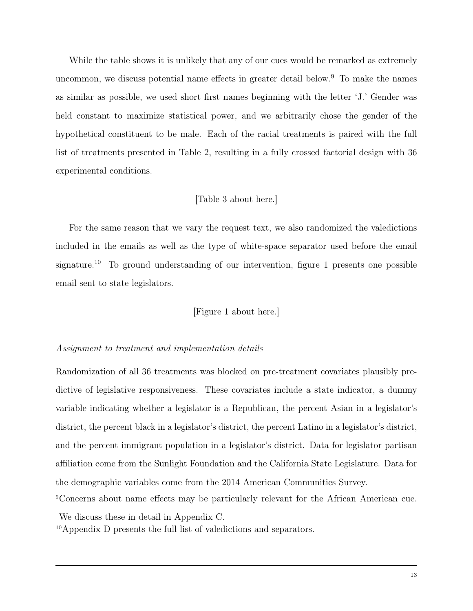While the table shows it is unlikely that any of our cues would be remarked as extremely uncommon, we discuss potential name effects in greater detail below.<sup>9</sup> To make the names as similar as possible, we used short first names beginning with the letter 'J.' Gender was held constant to maximize statistical power, and we arbitrarily chose the gender of the hypothetical constituent to be male. Each of the racial treatments is paired with the full list of treatments presented in Table 2, resulting in a fully crossed factorial design with 36 experimental conditions.

## [Table 3 about here.]

For the same reason that we vary the request text, we also randomized the valedictions included in the emails as well as the type of white-space separator used before the email signature.<sup>10</sup> To ground understanding of our intervention, figure 1 presents one possible email sent to state legislators.

## [Figure 1 about here.]

#### Assignment to treatment and implementation details

Randomization of all 36 treatments was blocked on pre-treatment covariates plausibly predictive of legislative responsiveness. These covariates include a state indicator, a dummy variable indicating whether a legislator is a Republican, the percent Asian in a legislator's district, the percent black in a legislator's district, the percent Latino in a legislator's district, and the percent immigrant population in a legislator's district. Data for legislator partisan affiliation come from the Sunlight Foundation and the California State Legislature. Data for the demographic variables come from the 2014 American Communities Survey.

<sup>&</sup>lt;sup>9</sup>Concerns about name effects may be particularly relevant for the African American cue.

We discuss these in detail in Appendix C.

<sup>10</sup>Appendix D presents the full list of valedictions and separators.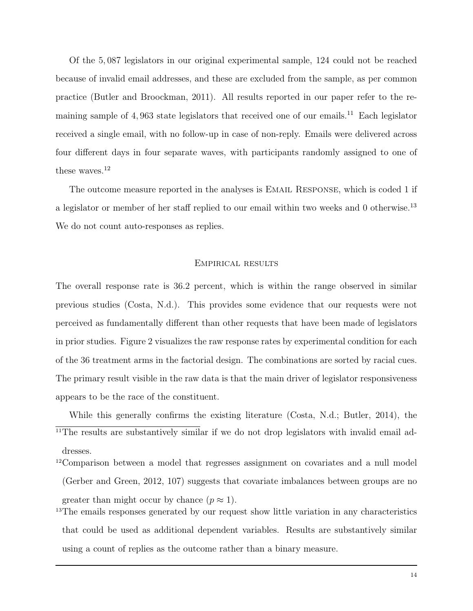Of the 5, 087 legislators in our original experimental sample, 124 could not be reached because of invalid email addresses, and these are excluded from the sample, as per common practice (Butler and Broockman, 2011). All results reported in our paper refer to the remaining sample of 4,963 state legislators that received one of our emails.<sup>11</sup> Each legislator received a single email, with no follow-up in case of non-reply. Emails were delivered across four different days in four separate waves, with participants randomly assigned to one of these waves.<sup>12</sup>

The outcome measure reported in the analyses is EMAIL RESPONSE, which is coded 1 if a legislator or member of her staff replied to our email within two weeks and 0 otherwise.<sup>13</sup> We do not count auto-responses as replies.

#### Empirical results

The overall response rate is 36.2 percent, which is within the range observed in similar previous studies (Costa, N.d.). This provides some evidence that our requests were not perceived as fundamentally different than other requests that have been made of legislators in prior studies. Figure 2 visualizes the raw response rates by experimental condition for each of the 36 treatment arms in the factorial design. The combinations are sorted by racial cues. The primary result visible in the raw data is that the main driver of legislator responsiveness appears to be the race of the constituent.

While this generally confirms the existing literature (Costa, N.d.; Butler, 2014), the <sup>11</sup>The results are substantively similar if we do not drop legislators with invalid email addresses.

- <sup>12</sup>Comparison between a model that regresses assignment on covariates and a null model (Gerber and Green, 2012, 107) suggests that covariate imbalances between groups are no greater than might occur by chance  $(p \approx 1)$ .
- <sup>13</sup>The emails responses generated by our request show little variation in any characteristics that could be used as additional dependent variables. Results are substantively similar using a count of replies as the outcome rather than a binary measure.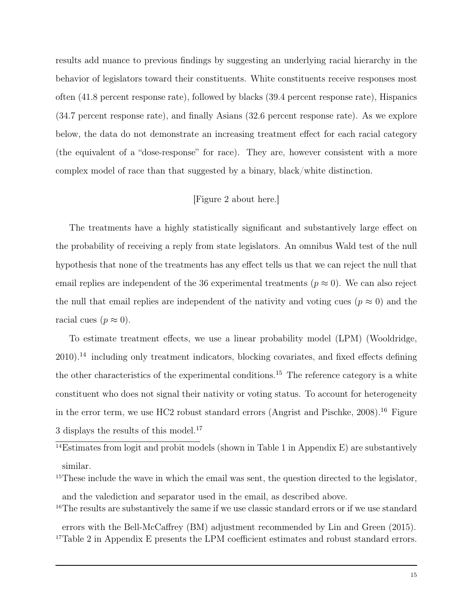results add nuance to previous findings by suggesting an underlying racial hierarchy in the behavior of legislators toward their constituents. White constituents receive responses most often (41.8 percent response rate), followed by blacks (39.4 percent response rate), Hispanics (34.7 percent response rate), and finally Asians (32.6 percent response rate). As we explore below, the data do not demonstrate an increasing treatment effect for each racial category (the equivalent of a "dose-response" for race). They are, however consistent with a more complex model of race than that suggested by a binary, black/white distinction.

# [Figure 2 about here.]

The treatments have a highly statistically significant and substantively large effect on the probability of receiving a reply from state legislators. An omnibus Wald test of the null hypothesis that none of the treatments has any effect tells us that we can reject the null that email replies are independent of the 36 experimental treatments ( $p \approx 0$ ). We can also reject the null that email replies are independent of the nativity and voting cues ( $p \approx 0$ ) and the racial cues  $(p \approx 0)$ .

To estimate treatment effects, we use a linear probability model (LPM) (Wooldridge,  $2010$ <sup>14</sup> including only treatment indicators, blocking covariates, and fixed effects defining the other characteristics of the experimental conditions.<sup>15</sup> The reference category is a white constituent who does not signal their nativity or voting status. To account for heterogeneity in the error term, we use HC2 robust standard errors (Angrist and Pischke, 2008).<sup>16</sup> Figure 3 displays the results of this model.<sup>17</sup>

<sup>14</sup>Estimates from logit and probit models (shown in Table 1 in Appendix E) are substantively similar.

<sup>15</sup>These include the wave in which the email was sent, the question directed to the legislator, and the valediction and separator used in the email, as described above.

<sup>16</sup>The results are substantively the same if we use classic standard errors or if we use standard

errors with the Bell-McCaffrey (BM) adjustment recommended by Lin and Green (2015). <sup>17</sup>Table 2 in Appendix E presents the LPM coefficient estimates and robust standard errors.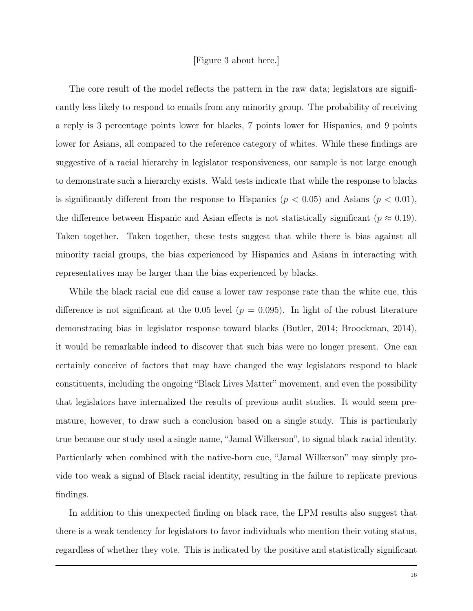#### [Figure 3 about here.]

The core result of the model reflects the pattern in the raw data; legislators are significantly less likely to respond to emails from any minority group. The probability of receiving a reply is 3 percentage points lower for blacks, 7 points lower for Hispanics, and 9 points lower for Asians, all compared to the reference category of whites. While these findings are suggestive of a racial hierarchy in legislator responsiveness, our sample is not large enough to demonstrate such a hierarchy exists. Wald tests indicate that while the response to blacks is significantly different from the response to Hispanics ( $p < 0.05$ ) and Asians ( $p < 0.01$ ), the difference between Hispanic and Asian effects is not statistically significant ( $p \approx 0.19$ ). Taken together. Taken together, these tests suggest that while there is bias against all minority racial groups, the bias experienced by Hispanics and Asians in interacting with representatives may be larger than the bias experienced by blacks.

While the black racial cue did cause a lower raw response rate than the white cue, this difference is not significant at the 0.05 level  $(p = 0.095)$ . In light of the robust literature demonstrating bias in legislator response toward blacks (Butler, 2014; Broockman, 2014), it would be remarkable indeed to discover that such bias were no longer present. One can certainly conceive of factors that may have changed the way legislators respond to black constituents, including the ongoing "Black Lives Matter" movement, and even the possibility that legislators have internalized the results of previous audit studies. It would seem premature, however, to draw such a conclusion based on a single study. This is particularly true because our study used a single name, "Jamal Wilkerson", to signal black racial identity. Particularly when combined with the native-born cue, "Jamal Wilkerson" may simply provide too weak a signal of Black racial identity, resulting in the failure to replicate previous findings.

In addition to this unexpected finding on black race, the LPM results also suggest that there is a weak tendency for legislators to favor individuals who mention their voting status, regardless of whether they vote. This is indicated by the positive and statistically significant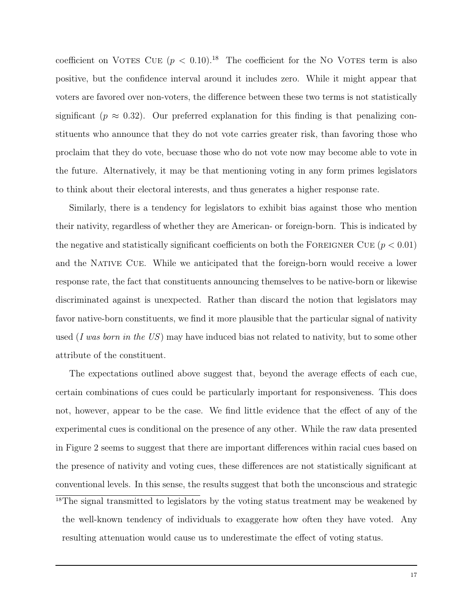coefficient on VOTES CUE  $(p < 0.10)^{18}$  The coefficient for the NO VOTES term is also positive, but the confidence interval around it includes zero. While it might appear that voters are favored over non-voters, the difference between these two terms is not statistically significant ( $p \approx 0.32$ ). Our preferred explanation for this finding is that penalizing constituents who announce that they do not vote carries greater risk, than favoring those who proclaim that they do vote, becuase those who do not vote now may become able to vote in the future. Alternatively, it may be that mentioning voting in any form primes legislators to think about their electoral interests, and thus generates a higher response rate.

Similarly, there is a tendency for legislators to exhibit bias against those who mention their nativity, regardless of whether they are American- or foreign-born. This is indicated by the negative and statistically significant coefficients on both the FOREIGNER CUE  $(p < 0.01)$ and the Native Cue. While we anticipated that the foreign-born would receive a lower response rate, the fact that constituents announcing themselves to be native-born or likewise discriminated against is unexpected. Rather than discard the notion that legislators may favor native-born constituents, we find it more plausible that the particular signal of nativity used (I was born in the US) may have induced bias not related to nativity, but to some other attribute of the constituent.

The expectations outlined above suggest that, beyond the average effects of each cue, certain combinations of cues could be particularly important for responsiveness. This does not, however, appear to be the case. We find little evidence that the effect of any of the experimental cues is conditional on the presence of any other. While the raw data presented in Figure 2 seems to suggest that there are important differences within racial cues based on the presence of nativity and voting cues, these differences are not statistically significant at conventional levels. In this sense, the results suggest that both the unconscious and strategic <sup>18</sup>The signal transmitted to legislators by the voting status treatment may be weakened by the well-known tendency of individuals to exaggerate how often they have voted. Any resulting attenuation would cause us to underestimate the effect of voting status.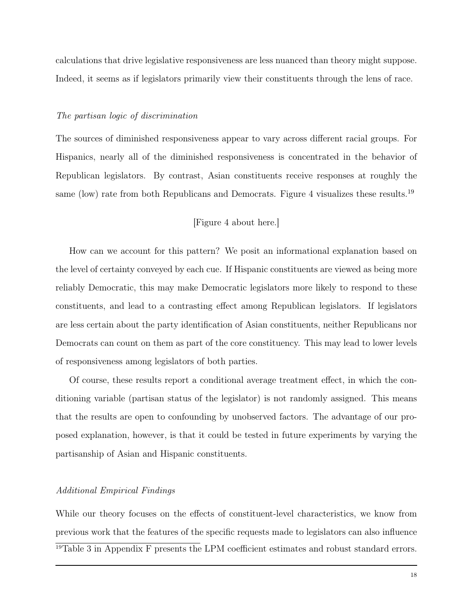calculations that drive legislative responsiveness are less nuanced than theory might suppose. Indeed, it seems as if legislators primarily view their constituents through the lens of race.

#### The partisan logic of discrimination

The sources of diminished responsiveness appear to vary across different racial groups. For Hispanics, nearly all of the diminished responsiveness is concentrated in the behavior of Republican legislators. By contrast, Asian constituents receive responses at roughly the same (low) rate from both Republicans and Democrats. Figure 4 visualizes these results.<sup>19</sup>

### [Figure 4 about here.]

How can we account for this pattern? We posit an informational explanation based on the level of certainty conveyed by each cue. If Hispanic constituents are viewed as being more reliably Democratic, this may make Democratic legislators more likely to respond to these constituents, and lead to a contrasting effect among Republican legislators. If legislators are less certain about the party identification of Asian constituents, neither Republicans nor Democrats can count on them as part of the core constituency. This may lead to lower levels of responsiveness among legislators of both parties.

Of course, these results report a conditional average treatment effect, in which the conditioning variable (partisan status of the legislator) is not randomly assigned. This means that the results are open to confounding by unobserved factors. The advantage of our proposed explanation, however, is that it could be tested in future experiments by varying the partisanship of Asian and Hispanic constituents.

#### Additional Empirical Findings

While our theory focuses on the effects of constituent-level characteristics, we know from previous work that the features of the specific requests made to legislators can also influence <sup>19</sup>Table 3 in Appendix F presents the LPM coefficient estimates and robust standard errors.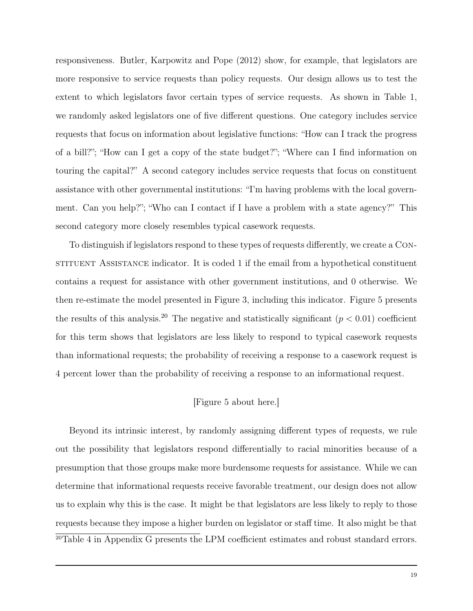responsiveness. Butler, Karpowitz and Pope (2012) show, for example, that legislators are more responsive to service requests than policy requests. Our design allows us to test the extent to which legislators favor certain types of service requests. As shown in Table 1, we randomly asked legislators one of five different questions. One category includes service requests that focus on information about legislative functions: "How can I track the progress of a bill?"; "How can I get a copy of the state budget?"; "Where can I find information on touring the capital?" A second category includes service requests that focus on constituent assistance with other governmental institutions: "I'm having problems with the local government. Can you help?"; "Who can I contact if I have a problem with a state agency?" This second category more closely resembles typical casework requests.

To distinguish if legislators respond to these types of requests differently, we create a Constituent Assistance indicator. It is coded 1 if the email from a hypothetical constituent contains a request for assistance with other government institutions, and 0 otherwise. We then re-estimate the model presented in Figure 3, including this indicator. Figure 5 presents the results of this analysis.<sup>20</sup> The negative and statistically significant ( $p < 0.01$ ) coefficient for this term shows that legislators are less likely to respond to typical casework requests than informational requests; the probability of receiving a response to a casework request is 4 percent lower than the probability of receiving a response to an informational request.

### [Figure 5 about here.]

Beyond its intrinsic interest, by randomly assigning different types of requests, we rule out the possibility that legislators respond differentially to racial minorities because of a presumption that those groups make more burdensome requests for assistance. While we can determine that informational requests receive favorable treatment, our design does not allow us to explain why this is the case. It might be that legislators are less likely to reply to those requests because they impose a higher burden on legislator or staff time. It also might be that <sup>20</sup>Table 4 in Appendix G presents the LPM coefficient estimates and robust standard errors.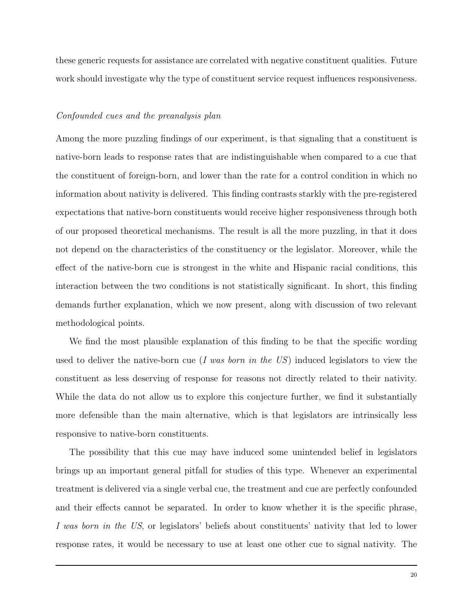these generic requests for assistance are correlated with negative constituent qualities. Future work should investigate why the type of constituent service request influences responsiveness.

#### Confounded cues and the preanalysis plan

Among the more puzzling findings of our experiment, is that signaling that a constituent is native-born leads to response rates that are indistinguishable when compared to a cue that the constituent of foreign-born, and lower than the rate for a control condition in which no information about nativity is delivered. This finding contrasts starkly with the pre-registered expectations that native-born constituents would receive higher responsiveness through both of our proposed theoretical mechanisms. The result is all the more puzzling, in that it does not depend on the characteristics of the constituency or the legislator. Moreover, while the effect of the native-born cue is strongest in the white and Hispanic racial conditions, this interaction between the two conditions is not statistically significant. In short, this finding demands further explanation, which we now present, along with discussion of two relevant methodological points.

We find the most plausible explanation of this finding to be that the specific wording used to deliver the native-born cue (I was born in the  $US$ ) induced legislators to view the constituent as less deserving of response for reasons not directly related to their nativity. While the data do not allow us to explore this conjecture further, we find it substantially more defensible than the main alternative, which is that legislators are intrinsically less responsive to native-born constituents.

The possibility that this cue may have induced some unintended belief in legislators brings up an important general pitfall for studies of this type. Whenever an experimental treatment is delivered via a single verbal cue, the treatment and cue are perfectly confounded and their effects cannot be separated. In order to know whether it is the specific phrase, I was born in the US, or legislators' beliefs about constituents' nativity that led to lower response rates, it would be necessary to use at least one other cue to signal nativity. The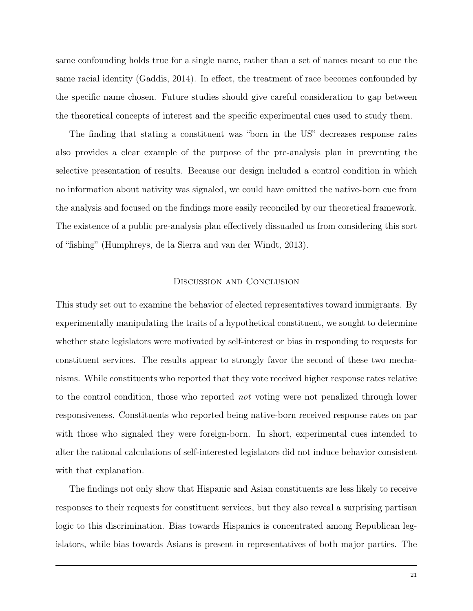same confounding holds true for a single name, rather than a set of names meant to cue the same racial identity (Gaddis, 2014). In effect, the treatment of race becomes confounded by the specific name chosen. Future studies should give careful consideration to gap between the theoretical concepts of interest and the specific experimental cues used to study them.

The finding that stating a constituent was "born in the US" decreases response rates also provides a clear example of the purpose of the pre-analysis plan in preventing the selective presentation of results. Because our design included a control condition in which no information about nativity was signaled, we could have omitted the native-born cue from the analysis and focused on the findings more easily reconciled by our theoretical framework. The existence of a public pre-analysis plan effectively dissuaded us from considering this sort of "fishing" (Humphreys, de la Sierra and van der Windt, 2013).

#### Discussion and Conclusion

This study set out to examine the behavior of elected representatives toward immigrants. By experimentally manipulating the traits of a hypothetical constituent, we sought to determine whether state legislators were motivated by self-interest or bias in responding to requests for constituent services. The results appear to strongly favor the second of these two mechanisms. While constituents who reported that they vote received higher response rates relative to the control condition, those who reported not voting were not penalized through lower responsiveness. Constituents who reported being native-born received response rates on par with those who signaled they were foreign-born. In short, experimental cues intended to alter the rational calculations of self-interested legislators did not induce behavior consistent with that explanation.

The findings not only show that Hispanic and Asian constituents are less likely to receive responses to their requests for constituent services, but they also reveal a surprising partisan logic to this discrimination. Bias towards Hispanics is concentrated among Republican legislators, while bias towards Asians is present in representatives of both major parties. The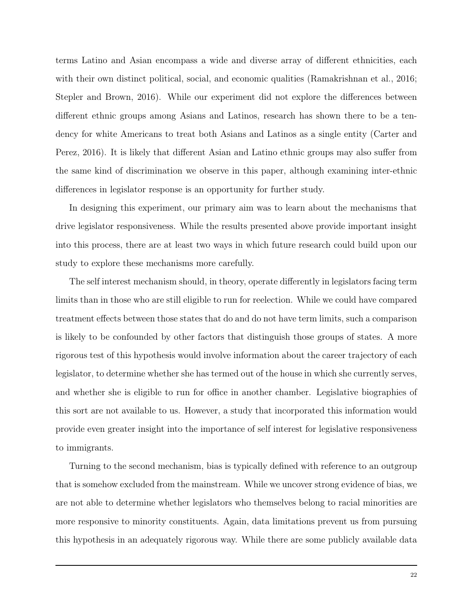terms Latino and Asian encompass a wide and diverse array of different ethnicities, each with their own distinct political, social, and economic qualities (Ramakrishnan et al., 2016; Stepler and Brown, 2016). While our experiment did not explore the differences between different ethnic groups among Asians and Latinos, research has shown there to be a tendency for white Americans to treat both Asians and Latinos as a single entity (Carter and Perez, 2016). It is likely that different Asian and Latino ethnic groups may also suffer from the same kind of discrimination we observe in this paper, although examining inter-ethnic differences in legislator response is an opportunity for further study.

In designing this experiment, our primary aim was to learn about the mechanisms that drive legislator responsiveness. While the results presented above provide important insight into this process, there are at least two ways in which future research could build upon our study to explore these mechanisms more carefully.

The self interest mechanism should, in theory, operate differently in legislators facing term limits than in those who are still eligible to run for reelection. While we could have compared treatment effects between those states that do and do not have term limits, such a comparison is likely to be confounded by other factors that distinguish those groups of states. A more rigorous test of this hypothesis would involve information about the career trajectory of each legislator, to determine whether she has termed out of the house in which she currently serves, and whether she is eligible to run for office in another chamber. Legislative biographies of this sort are not available to us. However, a study that incorporated this information would provide even greater insight into the importance of self interest for legislative responsiveness to immigrants.

Turning to the second mechanism, bias is typically defined with reference to an outgroup that is somehow excluded from the mainstream. While we uncover strong evidence of bias, we are not able to determine whether legislators who themselves belong to racial minorities are more responsive to minority constituents. Again, data limitations prevent us from pursuing this hypothesis in an adequately rigorous way. While there are some publicly available data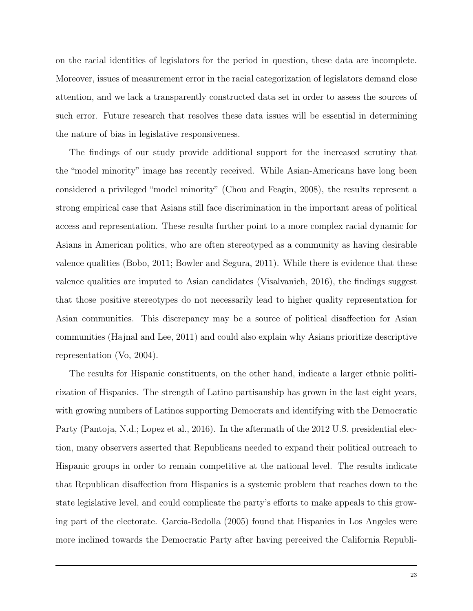on the racial identities of legislators for the period in question, these data are incomplete. Moreover, issues of measurement error in the racial categorization of legislators demand close attention, and we lack a transparently constructed data set in order to assess the sources of such error. Future research that resolves these data issues will be essential in determining the nature of bias in legislative responsiveness.

The findings of our study provide additional support for the increased scrutiny that the "model minority" image has recently received. While Asian-Americans have long been considered a privileged "model minority" (Chou and Feagin, 2008), the results represent a strong empirical case that Asians still face discrimination in the important areas of political access and representation. These results further point to a more complex racial dynamic for Asians in American politics, who are often stereotyped as a community as having desirable valence qualities (Bobo, 2011; Bowler and Segura, 2011). While there is evidence that these valence qualities are imputed to Asian candidates (Visalvanich, 2016), the findings suggest that those positive stereotypes do not necessarily lead to higher quality representation for Asian communities. This discrepancy may be a source of political disaffection for Asian communities (Hajnal and Lee, 2011) and could also explain why Asians prioritize descriptive representation (Vo, 2004).

The results for Hispanic constituents, on the other hand, indicate a larger ethnic politicization of Hispanics. The strength of Latino partisanship has grown in the last eight years, with growing numbers of Latinos supporting Democrats and identifying with the Democratic Party (Pantoja, N.d.; Lopez et al., 2016). In the aftermath of the 2012 U.S. presidential election, many observers asserted that Republicans needed to expand their political outreach to Hispanic groups in order to remain competitive at the national level. The results indicate that Republican disaffection from Hispanics is a systemic problem that reaches down to the state legislative level, and could complicate the party's efforts to make appeals to this growing part of the electorate. Garcia-Bedolla (2005) found that Hispanics in Los Angeles were more inclined towards the Democratic Party after having perceived the California Republi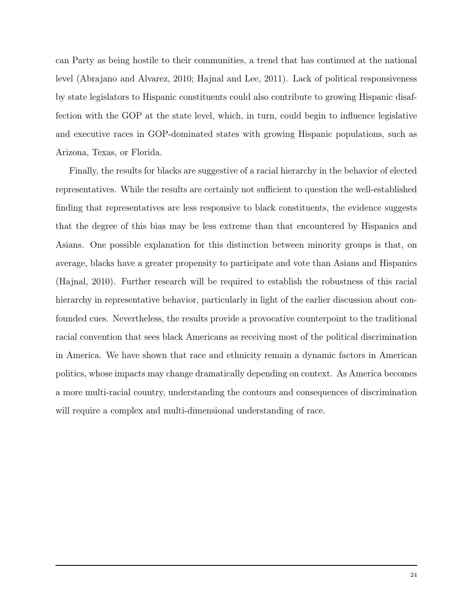can Party as being hostile to their communities, a trend that has continued at the national level (Abrajano and Alvarez, 2010; Hajnal and Lee, 2011). Lack of political responsiveness by state legislators to Hispanic constituents could also contribute to growing Hispanic disaffection with the GOP at the state level, which, in turn, could begin to influence legislative and executive races in GOP-dominated states with growing Hispanic populations, such as Arizona, Texas, or Florida.

Finally, the results for blacks are suggestive of a racial hierarchy in the behavior of elected representatives. While the results are certainly not sufficient to question the well-established finding that representatives are less responsive to black constituents, the evidence suggests that the degree of this bias may be less extreme than that encountered by Hispanics and Asians. One possible explanation for this distinction between minority groups is that, on average, blacks have a greater propensity to participate and vote than Asians and Hispanics (Hajnal, 2010). Further research will be required to establish the robustness of this racial hierarchy in representative behavior, particularly in light of the earlier discussion about confounded cues. Nevertheless, the results provide a provocative counterpoint to the traditional racial convention that sees black Americans as receiving most of the political discrimination in America. We have shown that race and ethnicity remain a dynamic factors in American politics, whose impacts may change dramatically depending on context. As America becomes a more multi-racial country, understanding the contours and consequences of discrimination will require a complex and multi-dimensional understanding of race.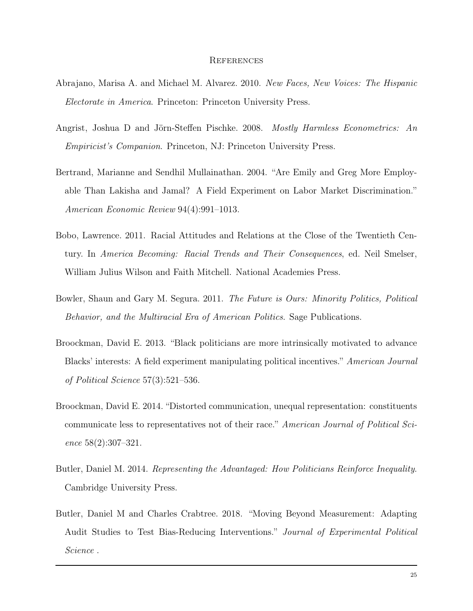#### **REFERENCES**

- Abrajano, Marisa A. and Michael M. Alvarez. 2010. New Faces, New Voices: The Hispanic Electorate in America. Princeton: Princeton University Press.
- Angrist, Joshua D and Jörn-Steffen Pischke. 2008. Mostly Harmless Econometrics: An Empiricist's Companion. Princeton, NJ: Princeton University Press.
- Bertrand, Marianne and Sendhil Mullainathan. 2004. "Are Emily and Greg More Employable Than Lakisha and Jamal? A Field Experiment on Labor Market Discrimination." American Economic Review 94(4):991–1013.
- Bobo, Lawrence. 2011. Racial Attitudes and Relations at the Close of the Twentieth Century. In America Becoming: Racial Trends and Their Consequences, ed. Neil Smelser, William Julius Wilson and Faith Mitchell. National Academies Press.
- Bowler, Shaun and Gary M. Segura. 2011. The Future is Ours: Minority Politics, Political Behavior, and the Multiracial Era of American Politics. Sage Publications.
- Broockman, David E. 2013. "Black politicians are more intrinsically motivated to advance Blacks' interests: A field experiment manipulating political incentives." American Journal of Political Science 57(3):521–536.
- Broockman, David E. 2014. "Distorted communication, unequal representation: constituents communicate less to representatives not of their race." American Journal of Political Science 58(2):307–321.
- Butler, Daniel M. 2014. Representing the Advantaged: How Politicians Reinforce Inequality. Cambridge University Press.
- Butler, Daniel M and Charles Crabtree. 2018. "Moving Beyond Measurement: Adapting Audit Studies to Test Bias-Reducing Interventions." Journal of Experimental Political Science .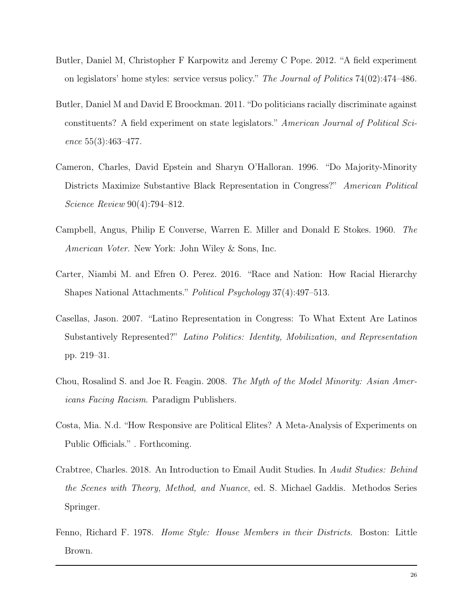- Butler, Daniel M, Christopher F Karpowitz and Jeremy C Pope. 2012. "A field experiment on legislators' home styles: service versus policy." The Journal of Politics 74(02):474–486.
- Butler, Daniel M and David E Broockman. 2011. "Do politicians racially discriminate against constituents? A field experiment on state legislators." American Journal of Political Science 55(3):463–477.
- Cameron, Charles, David Epstein and Sharyn O'Halloran. 1996. "Do Majority-Minority Districts Maximize Substantive Black Representation in Congress?" American Political Science Review 90(4):794–812.
- Campbell, Angus, Philip E Converse, Warren E. Miller and Donald E Stokes. 1960. The American Voter. New York: John Wiley & Sons, Inc.
- Carter, Niambi M. and Efren O. Perez. 2016. "Race and Nation: How Racial Hierarchy Shapes National Attachments." Political Psychology 37(4):497–513.
- Casellas, Jason. 2007. "Latino Representation in Congress: To What Extent Are Latinos Substantively Represented?" Latino Politics: Identity, Mobilization, and Representation pp. 219–31.
- Chou, Rosalind S. and Joe R. Feagin. 2008. The Myth of the Model Minority: Asian Americans Facing Racism. Paradigm Publishers.
- Costa, Mia. N.d. "How Responsive are Political Elites? A Meta-Analysis of Experiments on Public Officials." . Forthcoming.
- Crabtree, Charles. 2018. An Introduction to Email Audit Studies. In Audit Studies: Behind the Scenes with Theory, Method, and Nuance, ed. S. Michael Gaddis. Methodos Series Springer.
- Fenno, Richard F. 1978. Home Style: House Members in their Districts. Boston: Little Brown.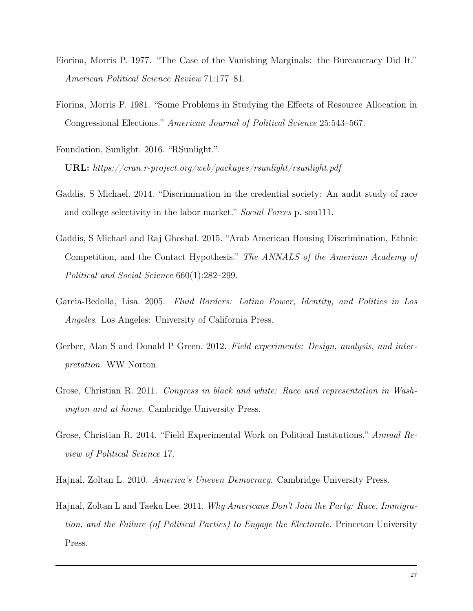- Fiorina, Morris P. 1977. "The Case of the Vanishing Marginals: the Bureaucracy Did It." American Political Science Review 71:177–81.
- Fiorina, Morris P. 1981. "Some Problems in Studying the Effects of Resource Allocation in Congressional Elections." American Journal of Political Science 25:543–567.
- Foundation, Sunlight. 2016. "RSunlight.". URL: https://cran.r-project.org/web/packages/rsunlight/rsunlight.pdf
- Gaddis, S Michael. 2014. "Discrimination in the credential society: An audit study of race and college selectivity in the labor market." Social Forces p. soul11.
- Gaddis, S Michael and Raj Ghoshal. 2015. "Arab American Housing Discrimination, Ethnic Competition, and the Contact Hypothesis." The ANNALS of the American Academy of Political and Social Science 660(1):282–299.
- Garcia-Bedolla, Lisa. 2005. Fluid Borders: Latino Power, Identity, and Politics in Los Angeles. Los Angeles: University of California Press.
- Gerber, Alan S and Donald P Green. 2012. Field experiments: Design, analysis, and interpretation. WW Norton.
- Grose, Christian R. 2011. Congress in black and white: Race and representation in Washington and at home. Cambridge University Press.
- Grose, Christian R. 2014. "Field Experimental Work on Political Institutions." Annual Review of Political Science 17.
- Hajnal, Zoltan L. 2010. America's Uneven Democracy. Cambridge University Press.
- Hajnal, Zoltan L and Taeku Lee. 2011. Why Americans Don't Join the Party: Race, Immigration, and the Failure (of Political Parties) to Engage the Electorate. Princeton University Press.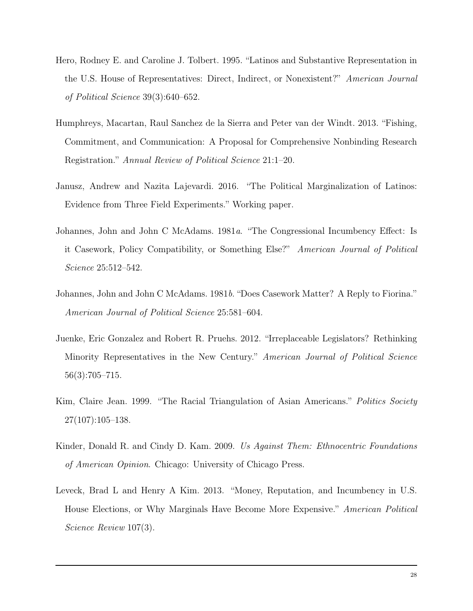- Hero, Rodney E. and Caroline J. Tolbert. 1995. "Latinos and Substantive Representation in the U.S. House of Representatives: Direct, Indirect, or Nonexistent?" American Journal of Political Science 39(3):640–652.
- Humphreys, Macartan, Raul Sanchez de la Sierra and Peter van der Windt. 2013. "Fishing, Commitment, and Communication: A Proposal for Comprehensive Nonbinding Research Registration." Annual Review of Political Science 21:1–20.
- Janusz, Andrew and Nazita Lajevardi. 2016. "The Political Marginalization of Latinos: Evidence from Three Field Experiments." Working paper.
- Johannes, John and John C McAdams. 1981a. "The Congressional Incumbency Effect: Is it Casework, Policy Compatibility, or Something Else?" American Journal of Political Science 25:512–542.
- Johannes, John and John C McAdams. 1981b. "Does Casework Matter? A Reply to Fiorina." American Journal of Political Science 25:581–604.
- Juenke, Eric Gonzalez and Robert R. Pruehs. 2012. "Irreplaceable Legislators? Rethinking Minority Representatives in the New Century." American Journal of Political Science 56(3):705–715.
- Kim, Claire Jean. 1999. "The Racial Triangulation of Asian Americans." Politics Society  $27(107):105-138.$
- Kinder, Donald R. and Cindy D. Kam. 2009. Us Against Them: Ethnocentric Foundations of American Opinion. Chicago: University of Chicago Press.
- Leveck, Brad L and Henry A Kim. 2013. "Money, Reputation, and Incumbency in U.S. House Elections, or Why Marginals Have Become More Expensive." American Political Science Review 107(3).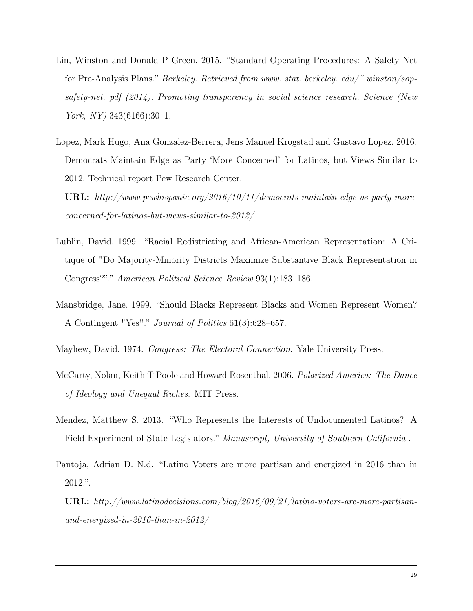- Lin, Winston and Donald P Green. 2015. "Standard Operating Procedures: A Safety Net for Pre-Analysis Plans." Berkeley. Retrieved from www. stat. berkeley. edu/ $\tilde{\phantom{a}}$  winston/sopsafety-net. pdf (2014). Promoting transparency in social science research. Science (New York,  $NY$ ) 343(6166):30-1.
- Lopez, Mark Hugo, Ana Gonzalez-Berrera, Jens Manuel Krogstad and Gustavo Lopez. 2016. Democrats Maintain Edge as Party 'More Concerned' for Latinos, but Views Similar to 2012. Technical report Pew Research Center.
	- URL: http://www.pewhispanic.org/2016/10/11/democrats-maintain-edge-as-party-moreconcerned-for-latinos-but-views-similar-to-2012/
- Lublin, David. 1999. "Racial Redistricting and African-American Representation: A Critique of "Do Majority-Minority Districts Maximize Substantive Black Representation in Congress?"." American Political Science Review 93(1):183–186.
- Mansbridge, Jane. 1999. "Should Blacks Represent Blacks and Women Represent Women? A Contingent "Yes"." Journal of Politics 61(3):628–657.
- Mayhew, David. 1974. Congress: The Electoral Connection. Yale University Press.
- McCarty, Nolan, Keith T Poole and Howard Rosenthal. 2006. Polarized America: The Dance of Ideology and Unequal Riches. MIT Press.
- Mendez, Matthew S. 2013. "Who Represents the Interests of Undocumented Latinos? A Field Experiment of State Legislators." Manuscript, University of Southern California .
- Pantoja, Adrian D. N.d. "Latino Voters are more partisan and energized in 2016 than in 2012.".
	- URL: http://www.latinodecisions.com/blog/2016/09/21/latino-voters-are-more-partisanand-energized-in-2016-than-in-2012/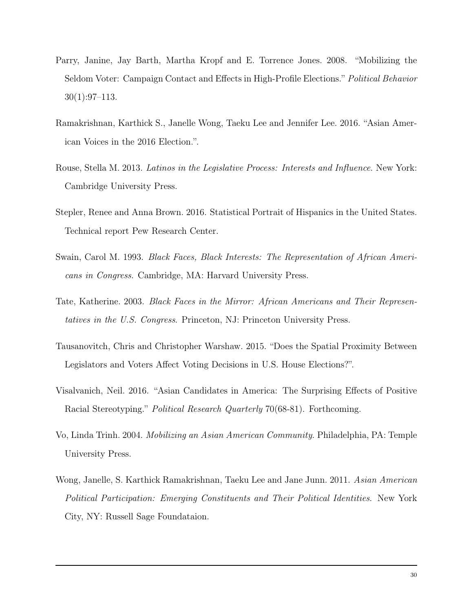- Parry, Janine, Jay Barth, Martha Kropf and E. Torrence Jones. 2008. "Mobilizing the Seldom Voter: Campaign Contact and Effects in High-Profile Elections." Political Behavior 30(1):97–113.
- Ramakrishnan, Karthick S., Janelle Wong, Taeku Lee and Jennifer Lee. 2016. "Asian American Voices in the 2016 Election.".
- Rouse, Stella M. 2013. Latinos in the Legislative Process: Interests and Influence. New York: Cambridge University Press.
- Stepler, Renee and Anna Brown. 2016. Statistical Portrait of Hispanics in the United States. Technical report Pew Research Center.
- Swain, Carol M. 1993. Black Faces, Black Interests: The Representation of African Americans in Congress. Cambridge, MA: Harvard University Press.
- Tate, Katherine. 2003. Black Faces in the Mirror: African Americans and Their Representatives in the U.S. Congress. Princeton, NJ: Princeton University Press.
- Tausanovitch, Chris and Christopher Warshaw. 2015. "Does the Spatial Proximity Between Legislators and Voters Affect Voting Decisions in U.S. House Elections?".
- Visalvanich, Neil. 2016. "Asian Candidates in America: The Surprising Effects of Positive Racial Stereotyping." Political Research Quarterly 70(68-81). Forthcoming.
- Vo, Linda Trinh. 2004. Mobilizing an Asian American Community. Philadelphia, PA: Temple University Press.
- Wong, Janelle, S. Karthick Ramakrishnan, Taeku Lee and Jane Junn. 2011. Asian American Political Participation: Emerging Constituents and Their Political Identities. New York City, NY: Russell Sage Foundataion.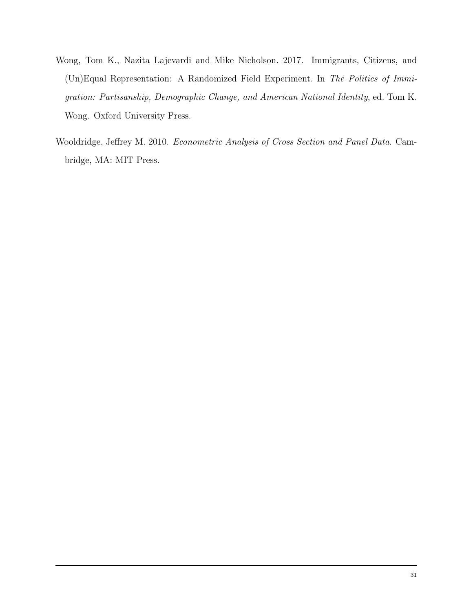- Wong, Tom K., Nazita Lajevardi and Mike Nicholson. 2017. Immigrants, Citizens, and (Un)Equal Representation: A Randomized Field Experiment. In The Politics of Immigration: Partisanship, Demographic Change, and American National Identity, ed. Tom K. Wong. Oxford University Press.
- Wooldridge, Jeffrey M. 2010. Econometric Analysis of Cross Section and Panel Data. Cambridge, MA: MIT Press.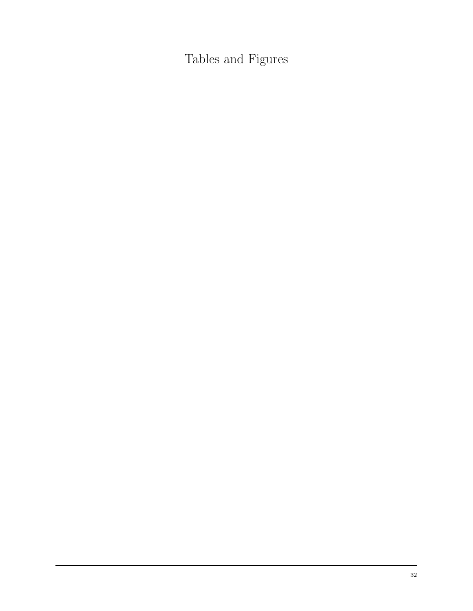Tables and Figures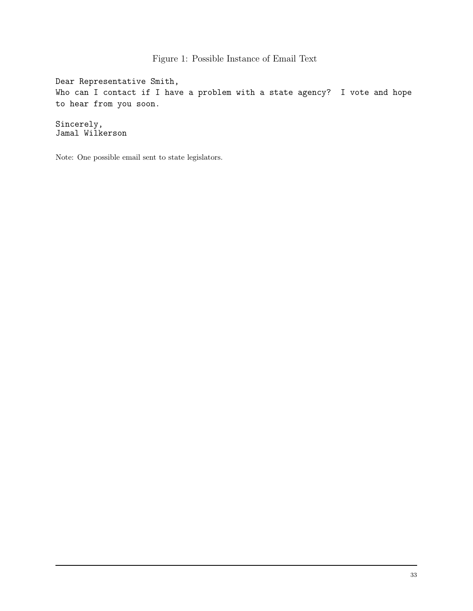Figure 1: Possible Instance of Email Text

Dear Representative Smith, Who can I contact if I have a problem with a state agency? I vote and hope to hear from you soon.

Sincerely, Jamal Wilkerson

Note: One possible email sent to state legislators.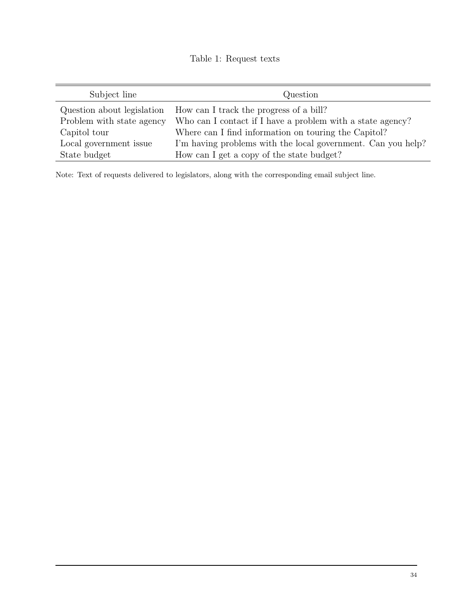# Table 1: Request texts

| Subject line               | Question                                                     |  |
|----------------------------|--------------------------------------------------------------|--|
| Question about legislation | How can I track the progress of a bill?                      |  |
| Problem with state agency  | Who can I contact if I have a problem with a state agency?   |  |
| Capitol tour               | Where can I find information on touring the Capitol?         |  |
| Local government issue     | I'm having problems with the local government. Can you help? |  |
| State budget               | How can I get a copy of the state budget?                    |  |

Note: Text of requests delivered to legislators, along with the corresponding email subject line.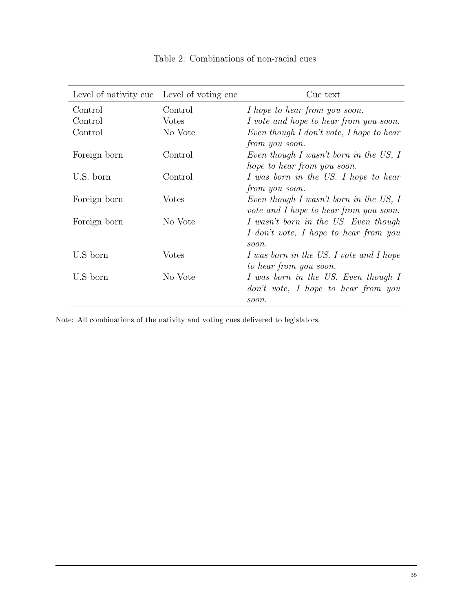| Level of nativity cue Level of voting cue |              | Cue text                                 |
|-------------------------------------------|--------------|------------------------------------------|
| Control                                   | Control      | I hope to hear from you soon.            |
| Control                                   | <b>Votes</b> | I vote and hope to hear from you soon.   |
| Control                                   | No Vote      | Even though I don't vote, I hope to hear |
|                                           |              | from you soon.                           |
| Foreign born                              | Control      | Even though I wasn't born in the US, I   |
|                                           |              | hope to hear from you soon.              |
| U.S. born                                 | Control      | I was born in the US. I hope to hear     |
|                                           |              | from you soon.                           |
| Foreign born                              | Votes        | Even though I wasn't born in the US, I   |
|                                           |              | vote and I hope to hear from you soon.   |
| Foreign born                              | No Vote      | I wasn't born in the US. Even though     |
|                                           |              | I don't vote, I hope to hear from you    |
|                                           |              | soon.                                    |
| U.S born                                  | Votes        | I was born in the US. I vote and I hope  |
|                                           |              | to hear from you soon.                   |
| U.S born                                  | No Vote      | I was born in the US. Even though I      |
|                                           |              | don't vote, I hope to hear from you      |
|                                           |              | soon.                                    |

Table 2: Combinations of non-racial cues

Note: All combinations of the nativity and voting cues delivered to legislators.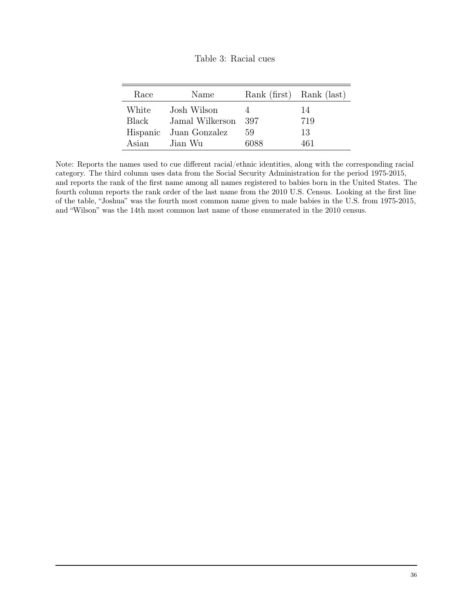| Race  | Name                   | Rank (first) Rank (last) |     |
|-------|------------------------|--------------------------|-----|
| White | Josh Wilson            |                          | 14  |
| Black | Jamal Wilkerson 397    |                          | 719 |
|       | Hispanic Juan Gonzalez | 59                       | 13  |
| Asian | Jian Wu                | 6088                     | 461 |

Note: Reports the names used to cue different racial/ethnic identities, along with the corresponding racial category. The third column uses data from the Social Security Administration for the period 1975-2015, and reports the rank of the first name among all names registered to babies born in the United States. The fourth column reports the rank order of the last name from the 2010 U.S. Census. Looking at the first line of the table, "Joshua" was the fourth most common name given to male babies in the U.S. from 1975-2015, and "Wilson" was the 14th most common last name of those enumerated in the 2010 census.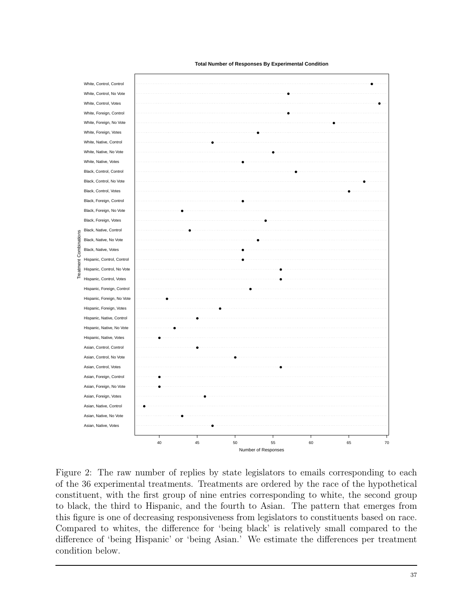#### **Total Number of Responses By Experimental Condition**

White, Control, Control White, Control, No Vote White, Control, Votes White, Foreign, Control White, Foreign, No Vote White, Foreign, Votes White, Native, Control White, Native, No Vote White, Native, Votes Black, Control, Control Black, Control, No Vote Black, Control, Votes Black, Foreign, Control Black, Foreign, No Vote ● Black, Foreign, Votes Black, Native, Control Treatment Combinations Black, Native, No Vote ambin Black, Native, Votes Hispanic, Control, Control Hispanic, Control, No Vote Hispanic, Control, Votes Hispanic, Foreign, Control Hispanic, Foreign, No Vote ● Hispanic, Foreign, Votes Hispanic, Native, Control Hispanic, Native, No Vote ● Hispanic, Native, Votes ● Asian, Control, Control Asian, Control, No Vote Asian, Control, Votes Asian, Foreign, Control ● Asian, Foreign, No Vote ● Asian, Foreign, Votes Asian, Native, Control ● Asian, Native, No Vote ● Asian, Native, Votes



Figure 2: The raw number of replies by state legislators to emails corresponding to each of the 36 experimental treatments. Treatments are ordered by the race of the hypothetical constituent, with the first group of nine entries corresponding to white, the second group to black, the third to Hispanic, and the fourth to Asian. The pattern that emerges from this figure is one of decreasing responsiveness from legislators to constituents based on race. Compared to whites, the difference for 'being black' is relatively small compared to the difference of 'being Hispanic' or 'being Asian.' We estimate the differences per treatment condition below.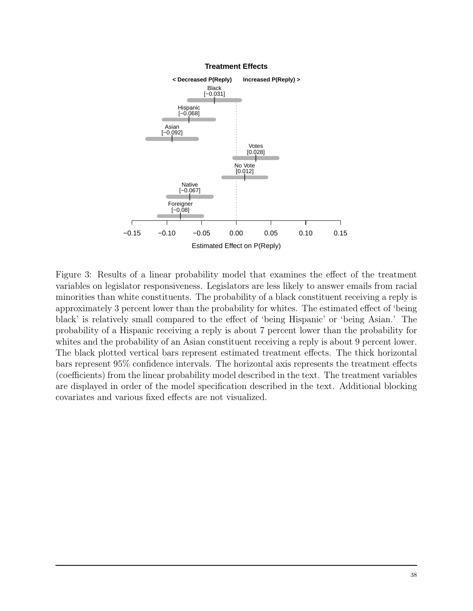

#### **Treatment Effects**

Figure 3: Results of a linear probability model that examines the effect of the treatment variables on legislator responsiveness. Legislators are less likely to answer emails from racial minorities than white constituents. The probability of a black constituent receiving a reply is approximately 3 percent lower than the probability for whites. The estimated effect of 'being black' is relatively small compared to the effect of 'being Hispanic' or 'being Asian.' The probability of a Hispanic receiving a reply is about 7 percent lower than the probability for whites and the probability of an Asian constituent receiving a reply is about 9 percent lower. The black plotted vertical bars represent estimated treatment effects. The thick horizontal bars represent 95% confidence intervals. The horizontal axis represents the treatment effects (coefficients) from the linear probability model described in the text. The treatment variables are displayed in order of the model specification described in the text. Additional blocking covariates and various fixed effects are not visualized.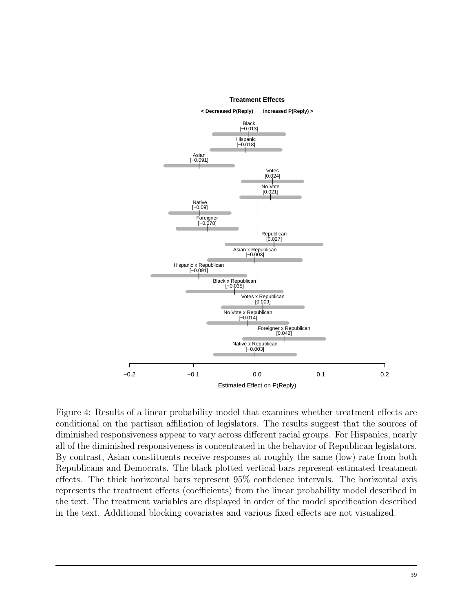

Figure 4: Results of a linear probability model that examines whether treatment effects are conditional on the partisan affiliation of legislators. The results suggest that the sources of diminished responsiveness appear to vary across different racial groups. For Hispanics, nearly all of the diminished responsiveness is concentrated in the behavior of Republican legislators. By contrast, Asian constituents receive responses at roughly the same (low) rate from both Republicans and Democrats. The black plotted vertical bars represent estimated treatment effects. The thick horizontal bars represent 95% confidence intervals. The horizontal axis represents the treatment effects (coefficients) from the linear probability model described in the text. The treatment variables are displayed in order of the model specification described in the text. Additional blocking covariates and various fixed effects are not visualized.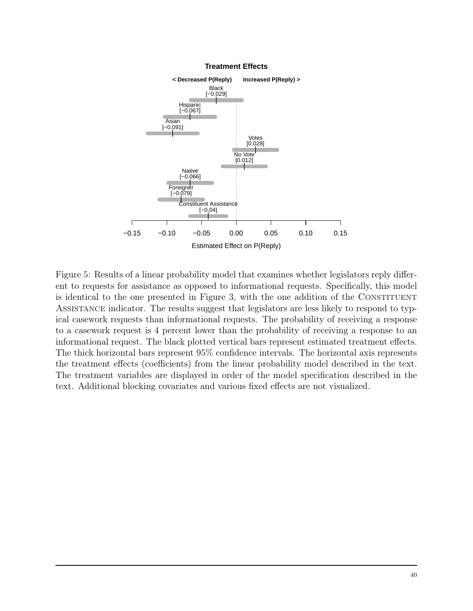

**Treatment Effects**

Figure 5: Results of a linear probability model that examines whether legislators reply different to requests for assistance as opposed to informational requests. Specifically, this model is identical to the one presented in Figure 3, with the one addition of the CONSTITUENT Assistance indicator. The results suggest that legislators are less likely to respond to typical casework requests than informational requests. The probability of receiving a response to a casework request is 4 percent lower than the probability of receiving a response to an informational request. The black plotted vertical bars represent estimated treatment effects. The thick horizontal bars represent 95% confidence intervals. The horizontal axis represents the treatment effects (coefficients) from the linear probability model described in the text. The treatment variables are displayed in order of the model specification described in the text. Additional blocking covariates and various fixed effects are not visualized.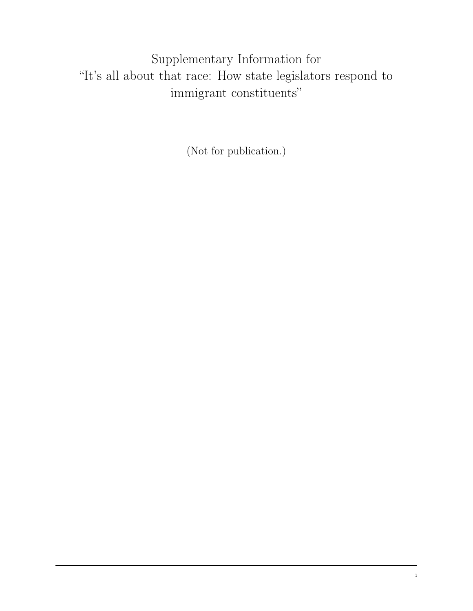Supplementary Information for "It's all about that race: How state legislators respond to immigrant constituents"

(Not for publication.)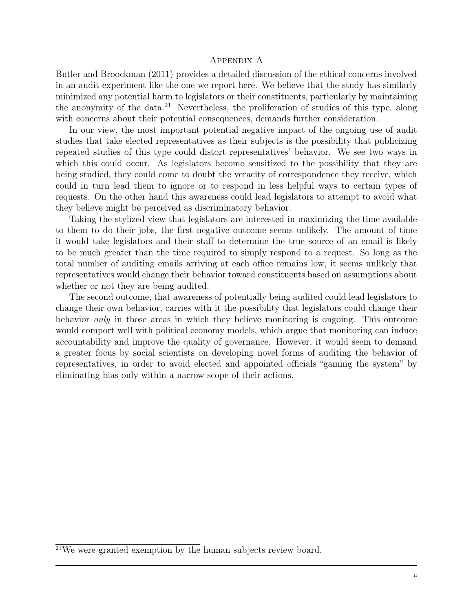### Appendix A

Butler and Broockman (2011) provides a detailed discussion of the ethical concerns involved in an audit experiment like the one we report here. We believe that the study has similarly minimized any potential harm to legislators or their constituents, particularly by maintaining the anonymity of the data.<sup>21</sup> Nevertheless, the proliferation of studies of this type, along with concerns about their potential consequences, demands further consideration.

In our view, the most important potential negative impact of the ongoing use of audit studies that take elected representatives as their subjects is the possibility that publicizing repeated studies of this type could distort representatives' behavior. We see two ways in which this could occur. As legislators become sensitized to the possibility that they are being studied, they could come to doubt the veracity of correspondence they receive, which could in turn lead them to ignore or to respond in less helpful ways to certain types of requests. On the other hand this awareness could lead legislators to attempt to avoid what they believe might be perceived as discriminatory behavior.

Taking the stylized view that legislators are interested in maximizing the time available to them to do their jobs, the first negative outcome seems unlikely. The amount of time it would take legislators and their staff to determine the true source of an email is likely to be much greater than the time required to simply respond to a request. So long as the total number of auditing emails arriving at each office remains low, it seems unlikely that representatives would change their behavior toward constituents based on assumptions about whether or not they are being audited.

The second outcome, that awareness of potentially being audited could lead legislators to change their own behavior, carries with it the possibility that legislators could change their behavior only in those areas in which they believe monitoring is ongoing. This outcome would comport well with political economy models, which argue that monitoring can induce accountability and improve the quality of governance. However, it would seem to demand a greater focus by social scientists on developing novel forms of auditing the behavior of representatives, in order to avoid elected and appointed officials "gaming the system" by eliminating bias only within a narrow scope of their actions.

<sup>21</sup>We were granted exemption by the human subjects review board.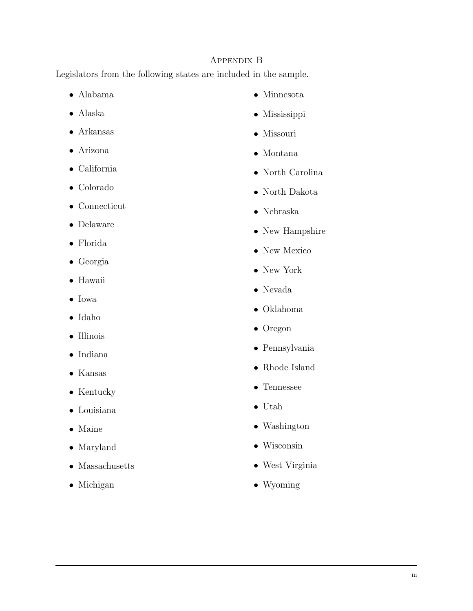# Appendix B

Legislators from the following states are included in the sample.

- Alabama
- Alaska
- Arkansas
- Arizona
- California
- Colorado
- Connecticut
- Delaware
- Florida
- Georgia
- Hawaii
- Iowa
- Idaho
- Illinois
- Indiana
- Kansas
- Kentucky
- Louisiana
- Maine
- Maryland
- Massachusetts
- Michigan
- Minnesota
- Mississippi
- Missouri
- Montana
- North Carolina
- North Dakota
- Nebraska
- New Hampshire
- New Mexico
- New York
- Nevada
- Oklahoma
- Oregon
- Pennsylvania
- Rhode Island
- Tennessee
- Utah
- Washington
- Wisconsin
- West Virginia
- Wyoming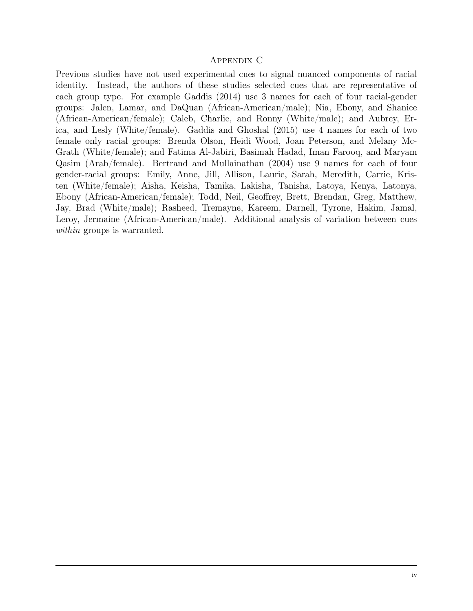### Appendix C

Previous studies have not used experimental cues to signal nuanced components of racial identity. Instead, the authors of these studies selected cues that are representative of each group type. For example Gaddis (2014) use 3 names for each of four racial-gender groups: Jalen, Lamar, and DaQuan (African-American/male); Nia, Ebony, and Shanice (African-American/female); Caleb, Charlie, and Ronny (White/male); and Aubrey, Erica, and Lesly (White/female). Gaddis and Ghoshal (2015) use 4 names for each of two female only racial groups: Brenda Olson, Heidi Wood, Joan Peterson, and Melany Mc-Grath (White/female); and Fatima Al-Jabiri, Basimah Hadad, Iman Farooq, and Maryam Qasim (Arab/female). Bertrand and Mullainathan (2004) use 9 names for each of four gender-racial groups: Emily, Anne, Jill, Allison, Laurie, Sarah, Meredith, Carrie, Kristen (White/female); Aisha, Keisha, Tamika, Lakisha, Tanisha, Latoya, Kenya, Latonya, Ebony (African-American/female); Todd, Neil, Geoffrey, Brett, Brendan, Greg, Matthew, Jay, Brad (White/male); Rasheed, Tremayne, Kareem, Darnell, Tyrone, Hakim, Jamal, Leroy, Jermaine (African-American/male). Additional analysis of variation between cues within groups is warranted.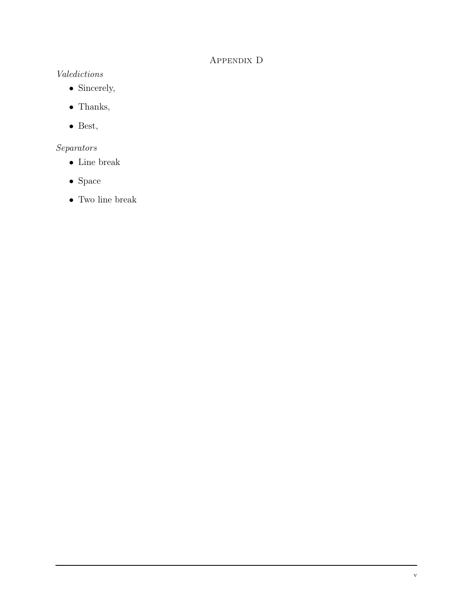# Appendix D

# Valedictions

- Sincerely,
- Thanks,
- Best,

# Separators

- Line break
- $\bullet\,$  Space
- Two line break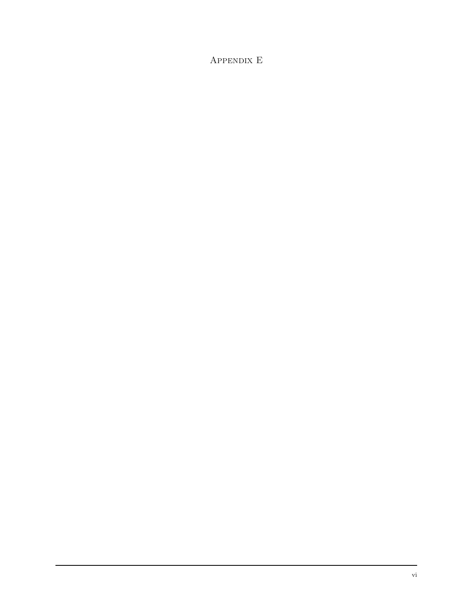# Appendix E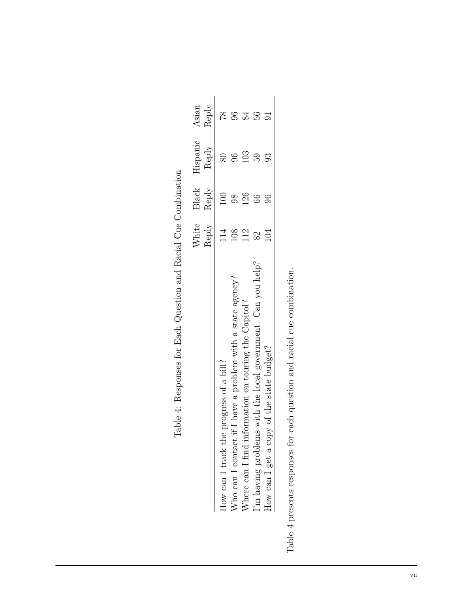|                                                             | White<br>Reply | Black<br>Reply | Iispanic<br>${\rm Reply}$ | Asian<br>Reply |
|-------------------------------------------------------------|----------------|----------------|---------------------------|----------------|
| How can I track the progress of a bill?                     | $\frac{1}{4}$  | $\Xi$          | $\infty$                  | $\frac{8}{1}$  |
| Nho can I contact if I have a problem with a state agency?  | 108            | $\frac{8}{6}$  | 96                        | S              |
| Where can I find information on touring the Capitol?        | 112            | 126            | 103                       | 84             |
| 'm having problems with the local government. Can you help? | 82             | $\Im 6$        | 59                        | 56             |
| dow can I get a copy of the state budget?                   | 104            | $\Im$          | 93                        |                |

| ֖֖֖֖ׅ֖ׅׅׅׅׅ֪ׅ֖֚֚֚֚֚֚֚֚֚֚֚֚֚֚֚֚֡֝֝֬֝֬֝֬֝֬֝֬<br>֖֖֖֖֖֖֧ׅ֖֧֖֧֧ׅ֧֧֚֚֚֚֚֚֚֚֚֚֚֚֚֚֚֚֚֚֚֚֚֚֚֚֚֚֬֝֓֝֓֞֝֓֞֝֬֓֬֓֬֓֬֓֞֬֝֓֞֝֬֞֬<br>Ì |
|--------------------------------------------------------------------------------------------------------------------------|
| $\begin{bmatrix} 1 \\ 1 \\ 2 \end{bmatrix}$<br>$\zeta$                                                                   |
| $\frac{5}{2}$<br>$\mathfrak{c}$                                                                                          |
| :<br>;<br>;                                                                                                              |
| ;<br>)<br>)<br>)<br>(                                                                                                    |
| $\frac{1}{2}$                                                                                                            |
| ļ                                                                                                                        |
| ;<br>}                                                                                                                   |
| Henne Henne Henne<br>ı<br>$\mathfrak{c}$                                                                                 |
|                                                                                                                          |
| יבֿ<br>l<br>֧֧֧֧֧֧֧֧֧֦֧֧֧֧֧֧֧֧֡֬֓֓֓֓֓֓֓֓֓֓֓֓֓֓֓֓֓֓֓֓֬֓֓֓֬֓֓֬֓֓֬֓֓֬֓֓֓֬֓֓֬֓֓֬֓֓֬֓֓֬֓֓֬֓֓֬֬֩֓֓֬֬֩֓֓֬֬֓֬֓֩֓֬֩֓֓֬֩֓֩         |

Table 4 presents responses for each question and racial cue combination. Table 4 presents responses for each question and racial cue combination.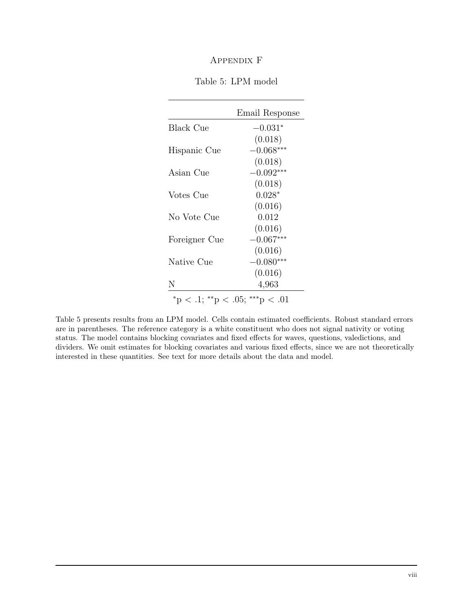# Appendix F

|                                                      | Email Response |
|------------------------------------------------------|----------------|
| <b>Black Cue</b>                                     | $-0.031*$      |
|                                                      | (0.018)        |
| Hispanic Cue                                         | $-0.068***$    |
|                                                      | (0.018)        |
| Asian Cue                                            | $-0.092***$    |
|                                                      | (0.018)        |
| Votes Cue                                            | $0.028*$       |
|                                                      | (0.016)        |
| No Vote Cue                                          | 0.012          |
|                                                      | (0.016)        |
| Foreigner Cue                                        | $-0.067***$    |
|                                                      | (0.016)        |
| Native Cue                                           | $-0.080***$    |
|                                                      | (0.016)        |
| N                                                    | 4,963          |
| $*_{\rm p} < .1; **_{\rm p} < .05; **_{\rm p} < .01$ |                |

Table 5 presents results from an LPM model. Cells contain estimated coefficients. Robust standard errors are in parentheses. The reference category is a white constituent who does not signal nativity or voting status. The model contains blocking covariates and fixed effects for waves, questions, valedictions, and dividers. We omit estimates for blocking covariates and various fixed effects, since we are not theoretically interested in these quantities. See text for more details about the data and model.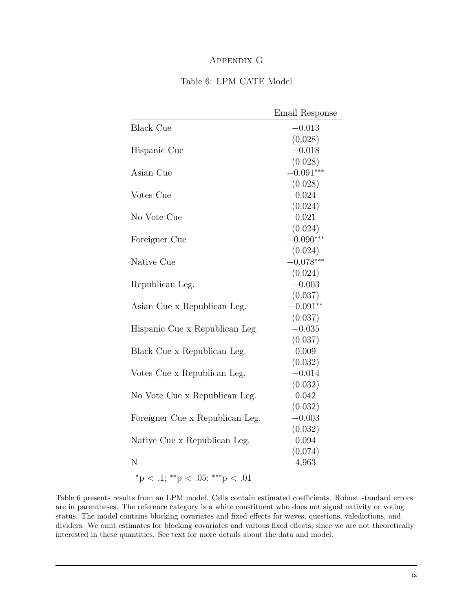# Appendix G

|                                 | Email Response |
|---------------------------------|----------------|
| <b>Black Cue</b>                | $-0.013$       |
|                                 | (0.028)        |
| Hispanic Cue                    | $-0.018$       |
|                                 | (0.028)        |
| Asian Cue                       | $-0.091***$    |
|                                 | (0.028)        |
| Votes Cue                       | 0.024          |
|                                 | (0.024)        |
| No Vote Cue                     | 0.021          |
|                                 | (0.024)        |
| Foreigner Cue                   | $-0.090***$    |
|                                 | (0.024)        |
| Native Cue                      | $-0.078***$    |
|                                 | (0.024)        |
| Republican Leg.                 | $-0.003$       |
|                                 | (0.037)        |
| Asian Cue x Republican Leg.     | $-0.091**$     |
|                                 | (0.037)        |
| Hispanic Cue x Republican Leg.  | $-0.035$       |
|                                 | (0.037)        |
| Black Cue x Republican Leg.     | 0.009          |
|                                 | (0.032)        |
| Votes Cue x Republican Leg.     | $-0.014$       |
|                                 | (0.032)        |
| No Vote Cue x Republican Leg.   | 0.042          |
|                                 | (0.032)        |
| Foreigner Cue x Republican Leg. | $-0.003$       |
|                                 | (0.032)        |
| Native Cue x Republican Leg.    | 0.094          |
| N                               | (0.074)        |
|                                 | 4,963          |

#### Table 6: LPM CATE Model

 $*$ p < .1;  $*$ <sup>\*</sup>p < .05; \*\*\*p < .01

Table 6 presents results from an LPM model. Cells contain estimated coefficients. Robust standard errors are in parentheses. The reference category is a white constituent who does not signal nativity or voting status. The model contains blocking covariates and fixed effects for waves, questions, valedictions, and dividers. We omit estimates for blocking covariates and various fixed effects, since we are not theoretically interested in these quantities. See text for more details about the data and model.